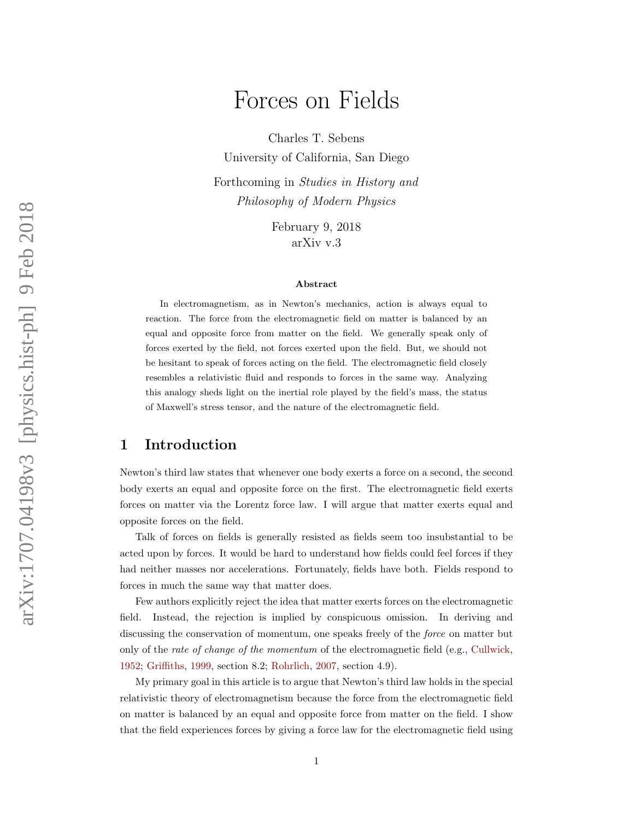# Forces on Fields

Charles T. Sebens University of California, San Diego

Forthcoming in Studies in History and Philosophy of Modern Physics

> February 9, 2018 arXiv v.3

#### Abstract

In electromagnetism, as in Newton's mechanics, action is always equal to reaction. The force from the electromagnetic field on matter is balanced by an equal and opposite force from matter on the field. We generally speak only of forces exerted by the field, not forces exerted upon the field. But, we should not be hesitant to speak of forces acting on the field. The electromagnetic field closely resembles a relativistic fluid and responds to forces in the same way. Analyzing this analogy sheds light on the inertial role played by the field's mass, the status of Maxwell's stress tensor, and the nature of the electromagnetic field.

## 1 Introduction

Newton's third law states that whenever one body exerts a force on a second, the second body exerts an equal and opposite force on the first. The electromagnetic field exerts forces on matter via the Lorentz force law. I will argue that matter exerts equal and opposite forces on the field.

Talk of forces on fields is generally resisted as fields seem too insubstantial to be acted upon by forces. It would be hard to understand how fields could feel forces if they had neither masses nor accelerations. Fortunately, fields have both. Fields respond to forces in much the same way that matter does.

Few authors explicitly reject the idea that matter exerts forces on the electromagnetic field. Instead, the rejection is implied by conspicuous omission. In deriving and discussing the conservation of momentum, one speaks freely of the force on matter but only of the rate of change of the momentum of the electromagnetic field (e.g., [Cullwick,](#page-22-0) [1952;](#page-22-0) [Griffiths,](#page-23-0) [1999,](#page-23-0) section 8.2; [Rohrlich,](#page-24-0) [2007,](#page-24-0) section 4.9).

My primary goal in this article is to argue that Newton's third law holds in the special relativistic theory of electromagnetism because the force from the electromagnetic field on matter is balanced by an equal and opposite force from matter on the field. I show that the field experiences forces by giving a force law for the electromagnetic field using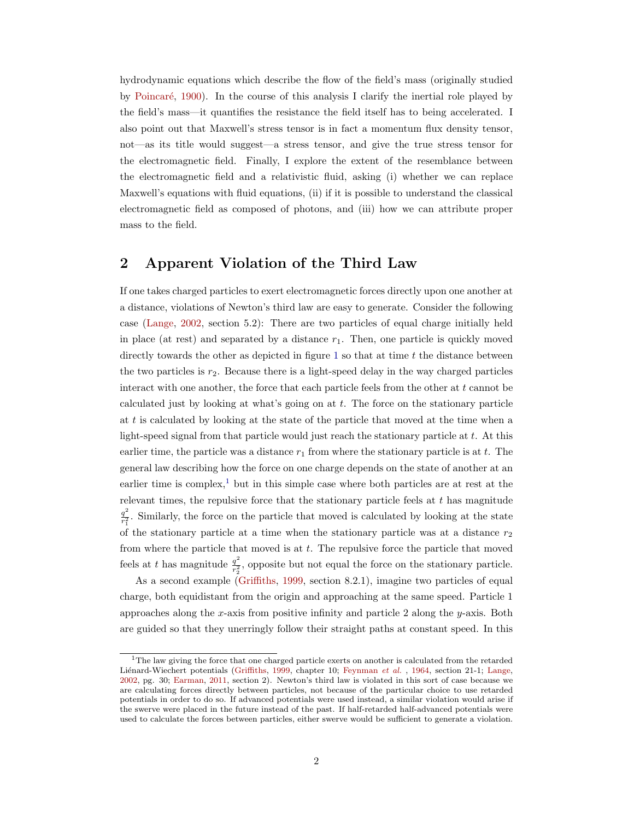hydrodynamic equations which describe the flow of the field's mass (originally studied by [Poincar´e,](#page-24-1) [1900\)](#page-24-1). In the course of this analysis I clarify the inertial role played by the field's mass—it quantifies the resistance the field itself has to being accelerated. I also point out that Maxwell's stress tensor is in fact a momentum flux density tensor, not—as its title would suggest—a stress tensor, and give the true stress tensor for the electromagnetic field. Finally, I explore the extent of the resemblance between the electromagnetic field and a relativistic fluid, asking (i) whether we can replace Maxwell's equations with fluid equations, (ii) if it is possible to understand the classical electromagnetic field as composed of photons, and (iii) how we can attribute proper mass to the field.

### 2 Apparent Violation of the Third Law

If one takes charged particles to exert electromagnetic forces directly upon one another at a distance, violations of Newton's third law are easy to generate. Consider the following case [\(Lange,](#page-24-2) [2002,](#page-24-2) section 5.2): There are two particles of equal charge initially held in place (at rest) and separated by a distance  $r_1$ . Then, one particle is quickly moved directly towards the other as depicted in figure [1](#page-2-0) so that at time  $t$  the distance between the two particles is  $r_2$ . Because there is a light-speed delay in the way charged particles interact with one another, the force that each particle feels from the other at  $t$  cannot be calculated just by looking at what's going on at  $t$ . The force on the stationary particle at  $t$  is calculated by looking at the state of the particle that moved at the time when a light-speed signal from that particle would just reach the stationary particle at  $t$ . At this earlier time, the particle was a distance  $r_1$  from where the stationary particle is at t. The general law describing how the force on one charge depends on the state of another at an earlier time is complex,<sup>[1](#page-1-0)</sup> but in this simple case where both particles are at rest at the relevant times, the repulsive force that the stationary particle feels at  $t$  has magnitude  $q^2$  $\frac{q^2}{r_1^2}$ . Similarly, the force on the particle that moved is calculated by looking at the state of the stationary particle at a time when the stationary particle was at a distance  $r_2$ from where the particle that moved is at  $t$ . The repulsive force the particle that moved feels at t has magnitude  $\frac{q^2}{r^2}$  $\frac{q}{r_2^2}$ , opposite but not equal the force on the stationary particle.

As a second example [\(Griffiths,](#page-23-0) [1999,](#page-23-0) section 8.2.1), imagine two particles of equal charge, both equidistant from the origin and approaching at the same speed. Particle 1 approaches along the x-axis from positive infinity and particle 2 along the  $y$ -axis. Both are guided so that they unerringly follow their straight paths at constant speed. In this

<span id="page-1-0"></span><sup>&</sup>lt;sup>1</sup>The law giving the force that one charged particle exerts on another is calculated from the retarded Liénard-Wiechert potentials [\(Griffiths,](#page-23-0) [1999,](#page-23-0) chapter 10; [Feynman](#page-23-1) et al., [1964,](#page-23-1) section 21-1; [Lange,](#page-24-2) [2002,](#page-24-2) pg. 30; [Earman,](#page-22-1) [2011,](#page-22-1) section 2). Newton's third law is violated in this sort of case because we are calculating forces directly between particles, not because of the particular choice to use retarded potentials in order to do so. If advanced potentials were used instead, a similar violation would arise if the swerve were placed in the future instead of the past. If half-retarded half-advanced potentials were used to calculate the forces between particles, either swerve would be sufficient to generate a violation.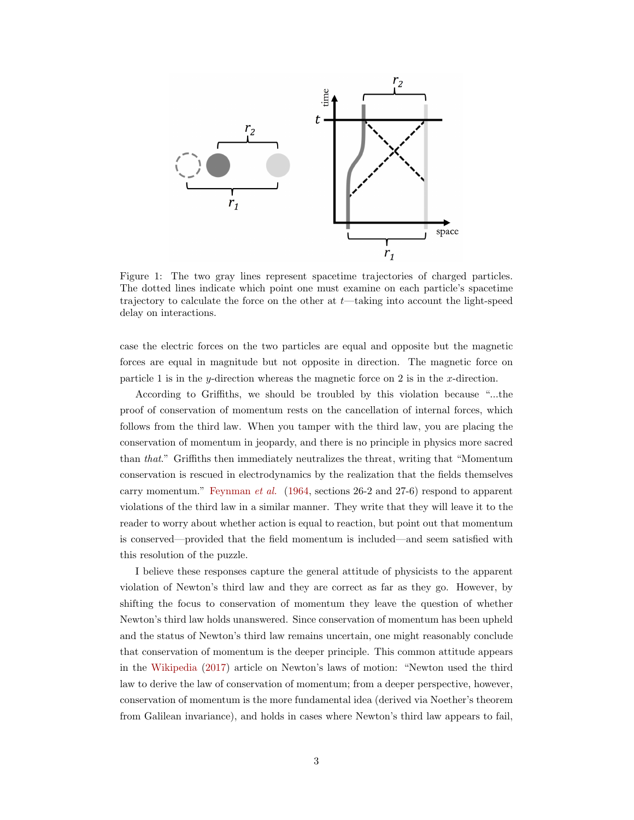

<span id="page-2-0"></span>Figure 1: The two gray lines represent spacetime trajectories of charged particles. The dotted lines indicate which point one must examine on each particle's spacetime trajectory to calculate the force on the other at  $t$ —taking into account the light-speed delay on interactions.

case the electric forces on the two particles are equal and opposite but the magnetic forces are equal in magnitude but not opposite in direction. The magnetic force on particle 1 is in the y-direction whereas the magnetic force on 2 is in the x-direction.

According to Griffiths, we should be troubled by this violation because "...the proof of conservation of momentum rests on the cancellation of internal forces, which follows from the third law. When you tamper with the third law, you are placing the conservation of momentum in jeopardy, and there is no principle in physics more sacred than that." Griffiths then immediately neutralizes the threat, writing that "Momentum conservation is rescued in electrodynamics by the realization that the fields themselves carry momentum." [Feynman](#page-23-1) *et al.*  $(1964, \text{ sections } 26-2 \text{ and } 27-6)$  $(1964, \text{ sections } 26-2 \text{ and } 27-6)$  respond to apparent violations of the third law in a similar manner. They write that they will leave it to the reader to worry about whether action is equal to reaction, but point out that momentum is conserved—provided that the field momentum is included—and seem satisfied with this resolution of the puzzle.

I believe these responses capture the general attitude of physicists to the apparent violation of Newton's third law and they are correct as far as they go. However, by shifting the focus to conservation of momentum they leave the question of whether Newton's third law holds unanswered. Since conservation of momentum has been upheld and the status of Newton's third law remains uncertain, one might reasonably conclude that conservation of momentum is the deeper principle. This common attitude appears in the [Wikipedia](#page-25-0) [\(2017\)](#page-25-0) article on Newton's laws of motion: "Newton used the third law to derive the law of conservation of momentum; from a deeper perspective, however, conservation of momentum is the more fundamental idea (derived via Noether's theorem from Galilean invariance), and holds in cases where Newton's third law appears to fail,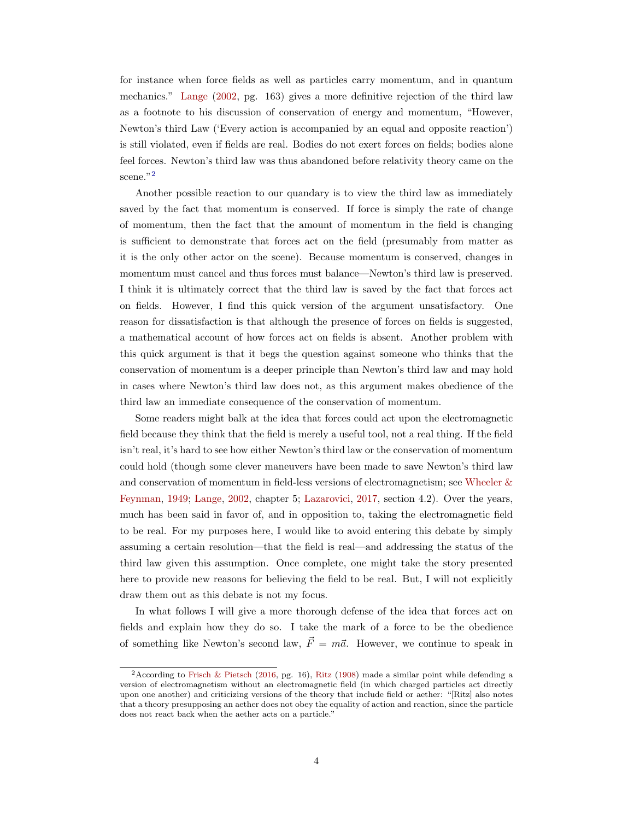for instance when force fields as well as particles carry momentum, and in quantum mechanics." [Lange](#page-24-2) [\(2002,](#page-24-2) pg. 163) gives a more definitive rejection of the third law as a footnote to his discussion of conservation of energy and momentum, "However, Newton's third Law ('Every action is accompanied by an equal and opposite reaction') is still violated, even if fields are real. Bodies do not exert forces on fields; bodies alone feel forces. Newton's third law was thus abandoned before relativity theory came on the scene."<sup>[2](#page-3-0)</sup>

Another possible reaction to our quandary is to view the third law as immediately saved by the fact that momentum is conserved. If force is simply the rate of change of momentum, then the fact that the amount of momentum in the field is changing is sufficient to demonstrate that forces act on the field (presumably from matter as it is the only other actor on the scene). Because momentum is conserved, changes in momentum must cancel and thus forces must balance—Newton's third law is preserved. I think it is ultimately correct that the third law is saved by the fact that forces act on fields. However, I find this quick version of the argument unsatisfactory. One reason for dissatisfaction is that although the presence of forces on fields is suggested, a mathematical account of how forces act on fields is absent. Another problem with this quick argument is that it begs the question against someone who thinks that the conservation of momentum is a deeper principle than Newton's third law and may hold in cases where Newton's third law does not, as this argument makes obedience of the third law an immediate consequence of the conservation of momentum.

Some readers might balk at the idea that forces could act upon the electromagnetic field because they think that the field is merely a useful tool, not a real thing. If the field isn't real, it's hard to see how either Newton's third law or the conservation of momentum could hold (though some clever maneuvers have been made to save Newton's third law and conservation of momentum in field-less versions of electromagnetism; see [Wheeler &](#page-24-3) [Feynman,](#page-24-3) [1949;](#page-24-3) [Lange,](#page-24-2) [2002,](#page-24-2) chapter 5; [Lazarovici,](#page-24-4) [2017,](#page-24-4) section 4.2). Over the years, much has been said in favor of, and in opposition to, taking the electromagnetic field to be real. For my purposes here, I would like to avoid entering this debate by simply assuming a certain resolution—that the field is real—and addressing the status of the third law given this assumption. Once complete, one might take the story presented here to provide new reasons for believing the field to be real. But, I will not explicitly draw them out as this debate is not my focus.

In what follows I will give a more thorough defense of the idea that forces act on fields and explain how they do so. I take the mark of a force to be the obedience of something like Newton's second law,  $\vec{F} = m\vec{a}$ . However, we continue to speak in

<span id="page-3-0"></span><sup>&</sup>lt;sup>2</sup> According to [Frisch & Pietsch](#page-23-2) [\(2016,](#page-23-2) pg. 16), [Ritz](#page-24-5) [\(1908\)](#page-24-5) made a similar point while defending a version of electromagnetism without an electromagnetic field (in which charged particles act directly upon one another) and criticizing versions of the theory that include field or aether: "[Ritz] also notes that a theory presupposing an aether does not obey the equality of action and reaction, since the particle does not react back when the aether acts on a particle."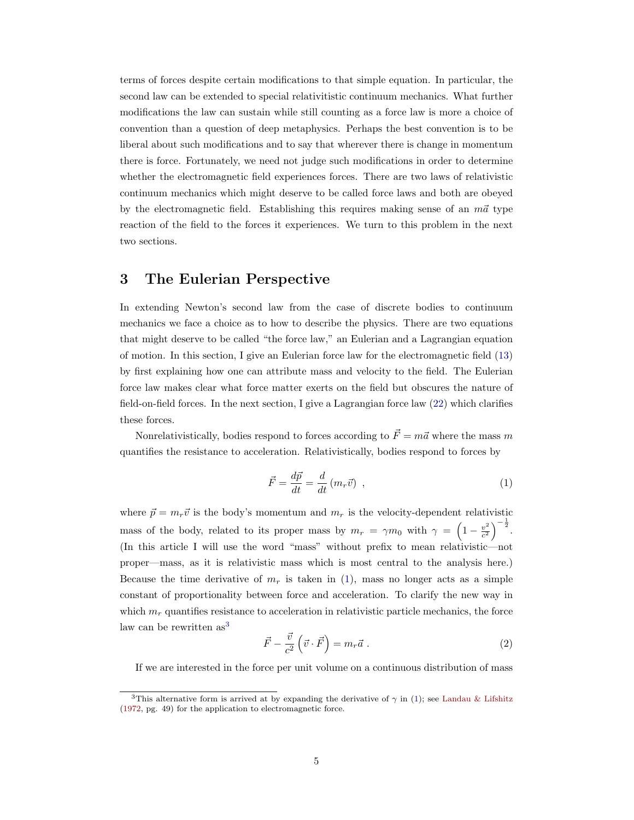terms of forces despite certain modifications to that simple equation. In particular, the second law can be extended to special relativitistic continuum mechanics. What further modifications the law can sustain while still counting as a force law is more a choice of convention than a question of deep metaphysics. Perhaps the best convention is to be liberal about such modifications and to say that wherever there is change in momentum there is force. Fortunately, we need not judge such modifications in order to determine whether the electromagnetic field experiences forces. There are two laws of relativistic continuum mechanics which might deserve to be called force laws and both are obeyed by the electromagnetic field. Establishing this requires making sense of an  $m\vec{a}$  type reaction of the field to the forces it experiences. We turn to this problem in the next two sections.

#### <span id="page-4-3"></span>3 The Eulerian Perspective

In extending Newton's second law from the case of discrete bodies to continuum mechanics we face a choice as to how to describe the physics. There are two equations that might deserve to be called "the force law," an Eulerian and a Lagrangian equation of motion. In this section, I give an Eulerian force law for the electromagnetic field [\(13\)](#page-8-0) by first explaining how one can attribute mass and velocity to the field. The Eulerian force law makes clear what force matter exerts on the field but obscures the nature of field-on-field forces. In the next section, I give a Lagrangian force law [\(22\)](#page-11-0) which clarifies these forces.

Nonrelativistically, bodies respond to forces according to  $\vec{F} = m\vec{a}$  where the mass m quantifies the resistance to acceleration. Relativistically, bodies respond to forces by

<span id="page-4-0"></span>
$$
\vec{F} = \frac{d\vec{p}}{dt} = \frac{d}{dt} (m_r \vec{v}) \tag{1}
$$

where  $\vec{p} = m_r \vec{v}$  is the body's momentum and  $m_r$  is the velocity-dependent relativistic mass of the body, related to its proper mass by  $m_r = \gamma m_0$  with  $\gamma = \left(1 - \frac{v^2}{c^2}\right)$  $\frac{v^2}{c^2}\Big)^{-\frac{1}{2}}.$ (In this article I will use the word "mass" without prefix to mean relativistic—not proper—mass, as it is relativistic mass which is most central to the analysis here.) Because the time derivative of  $m_r$  is taken in [\(1\)](#page-4-0), mass no longer acts as a simple constant of proportionality between force and acceleration. To clarify the new way in which  $m_r$  quantifies resistance to acceleration in relativistic particle mechanics, the force law can be rewritten as<sup>[3](#page-4-1)</sup>

<span id="page-4-2"></span>
$$
\vec{F} - \frac{\vec{v}}{c^2} \left( \vec{v} \cdot \vec{F} \right) = m_r \vec{a} \ . \tag{2}
$$

If we are interested in the force per unit volume on a continuous distribution of mass

<span id="page-4-1"></span><sup>&</sup>lt;sup>3</sup>This alternative form is arrived at by expanding the derivative of  $\gamma$  in [\(1\)](#page-4-0); see [Landau & Lifshitz](#page-23-3) [\(1972,](#page-23-3) pg. 49) for the application to electromagnetic force.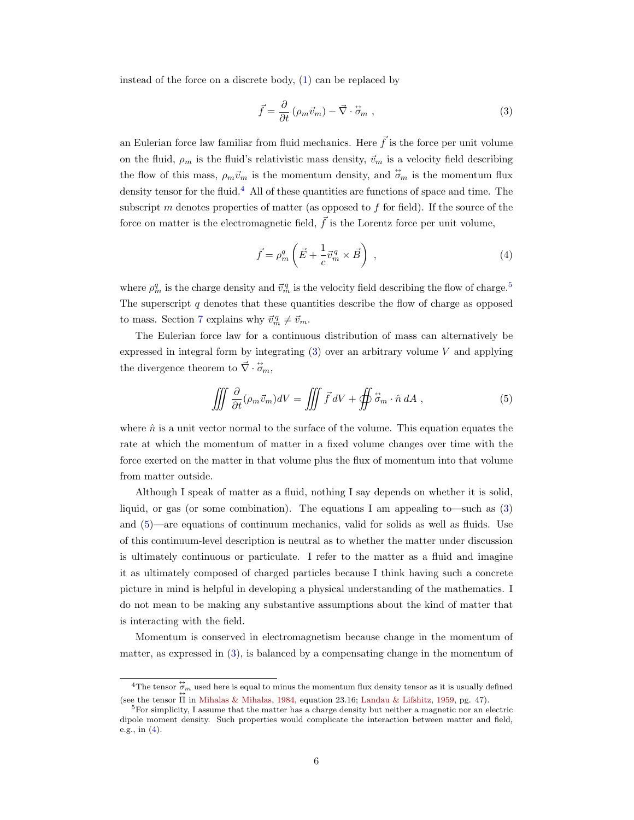instead of the force on a discrete body, [\(1\)](#page-4-0) can be replaced by

<span id="page-5-2"></span>
$$
\vec{f} = \frac{\partial}{\partial t} \left( \rho_m \vec{v}_m \right) - \vec{\nabla} \cdot \dot{\vec{\sigma}}_m , \qquad (3)
$$

an Eulerian force law familiar from fluid mechanics. Here  $\vec{f}$  is the force per unit volume on the fluid,  $\rho_m$  is the fluid's relativistic mass density,  $\vec{v}_m$  is a velocity field describing the flow of this mass,  $\rho_m \vec{v}_m$  is the momentum density, and  $\vec{\sigma}_m$  is the momentum flux density tensor for the fluid.[4](#page-5-0) All of these quantities are functions of space and time. The subscript m denotes properties of matter (as opposed to f for field). If the source of the force on matter is the electromagnetic field,  $\vec{f}$  is the Lorentz force per unit volume,

<span id="page-5-4"></span>
$$
\vec{f} = \rho_m^q \left( \vec{E} + \frac{1}{c} \vec{v}_m^q \times \vec{B} \right) , \qquad (4)
$$

where  $\rho_m^q$  is the charge density and  $\vec{v}_m^q$  is the velocity field describing the flow of charge.<sup>[5](#page-5-1)</sup> The superscript  $q$  denotes that these quantities describe the flow of charge as opposed to mass. Section [7](#page-18-0) explains why  $\vec{v}_m^q \neq \vec{v}_m$ .

The Eulerian force law for a continuous distribution of mass can alternatively be expressed in integral form by integrating  $(3)$  over an arbitrary volume V and applying the divergence theorem to  $\vec{\nabla} \cdot \vec{\sigma}_m$ ,

<span id="page-5-3"></span>
$$
\iiint \frac{\partial}{\partial t} (\rho_m \vec{v}_m) dV = \iiint \vec{f} dV + \oiint \vec{\sigma}_m \cdot \hat{n} dA , \qquad (5)
$$

where  $\hat{n}$  is a unit vector normal to the surface of the volume. This equation equates the rate at which the momentum of matter in a fixed volume changes over time with the force exerted on the matter in that volume plus the flux of momentum into that volume from matter outside.

Although I speak of matter as a fluid, nothing I say depends on whether it is solid, liquid, or gas (or some combination). The equations I am appealing to—such as [\(3\)](#page-5-2) and [\(5\)](#page-5-3)—are equations of continuum mechanics, valid for solids as well as fluids. Use of this continuum-level description is neutral as to whether the matter under discussion is ultimately continuous or particulate. I refer to the matter as a fluid and imagine it as ultimately composed of charged particles because I think having such a concrete picture in mind is helpful in developing a physical understanding of the mathematics. I do not mean to be making any substantive assumptions about the kind of matter that is interacting with the field.

Momentum is conserved in electromagnetism because change in the momentum of matter, as expressed in [\(3\)](#page-5-2), is balanced by a compensating change in the momentum of

<span id="page-5-0"></span><sup>&</sup>lt;sup>4</sup>The tensor  $\ddot{\sigma}_m$  used here is equal to minus the momentum flux density tensor as it is usually defined (see the tensor  $\hat{\Pi}$  in [Mihalas & Mihalas,](#page-24-6) [1984,](#page-24-6) equation 23.16; [Landau & Lifshitz,](#page-23-4) [1959,](#page-23-4) pg. 47).

<span id="page-5-1"></span> $5$ For simplicity, I assume that the matter has a charge density but neither a magnetic nor an electric dipole moment density. Such properties would complicate the interaction between matter and field, e.g., in [\(4\)](#page-5-4).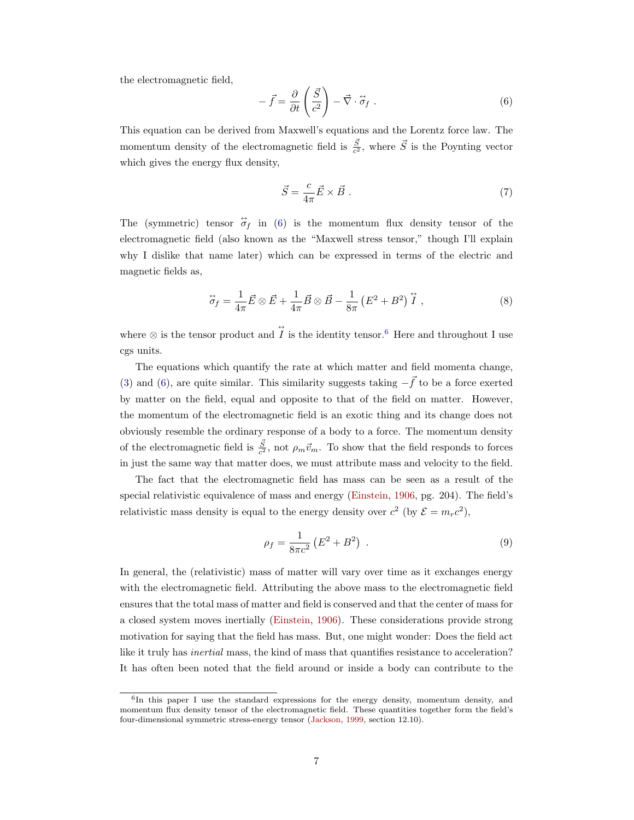the electromagnetic field,

<span id="page-6-0"></span>
$$
-\vec{f} = \frac{\partial}{\partial t} \left( \frac{\vec{S}}{c^2} \right) - \vec{\nabla} \cdot \vec{\sigma}_f . \tag{6}
$$

This equation can be derived from Maxwell's equations and the Lorentz force law. The momentum density of the electromagnetic field is  $\frac{\vec{S}}{c^2}$ , where  $\vec{S}$  is the Poynting vector which gives the energy flux density,

<span id="page-6-4"></span>
$$
\vec{S} = \frac{c}{4\pi} \vec{E} \times \vec{B} \ . \tag{7}
$$

The (symmetric) tensor  $\vec{\sigma}_f$  in [\(6\)](#page-6-0) is the momentum flux density tensor of the electromagnetic field (also known as the "Maxwell stress tensor," though I'll explain why I dislike that name later) which can be expressed in terms of the electric and magnetic fields as,

<span id="page-6-3"></span>
$$
\ddot{\sigma}_f = \frac{1}{4\pi} \vec{E} \otimes \vec{E} + \frac{1}{4\pi} \vec{B} \otimes \vec{B} - \frac{1}{8\pi} \left( E^2 + B^2 \right) \ddot{\vec{I}} \,, \tag{8}
$$

where  $\otimes$  is the tensor product and  $\overleftrightarrow{I}$  is the identity tensor.<sup>[6](#page-6-1)</sup> Here and throughout I use cgs units.

The equations which quantify the rate at which matter and field momenta change, [\(3\)](#page-5-2) and [\(6\)](#page-6-0), are quite similar. This similarity suggests taking  $-\vec{f}$  to be a force exerted by matter on the field, equal and opposite to that of the field on matter. However, the momentum of the electromagnetic field is an exotic thing and its change does not obviously resemble the ordinary response of a body to a force. The momentum density of the electromagnetic field is  $\frac{\vec{S}}{c^2}$ , not  $\rho_m \vec{v}_m$ . To show that the field responds to forces in just the same way that matter does, we must attribute mass and velocity to the field.

The fact that the electromagnetic field has mass can be seen as a result of the special relativistic equivalence of mass and energy [\(Einstein,](#page-22-2) [1906,](#page-22-2) pg. 204). The field's relativistic mass density is equal to the energy density over  $c^2$  (by  $\mathcal{E} = m_r c^2$ ),

<span id="page-6-2"></span>
$$
\rho_f = \frac{1}{8\pi c^2} \left( E^2 + B^2 \right) \ . \tag{9}
$$

In general, the (relativistic) mass of matter will vary over time as it exchanges energy with the electromagnetic field. Attributing the above mass to the electromagnetic field ensures that the total mass of matter and field is conserved and that the center of mass for a closed system moves inertially [\(Einstein,](#page-22-2) [1906\)](#page-22-2). These considerations provide strong motivation for saying that the field has mass. But, one might wonder: Does the field act like it truly has inertial mass, the kind of mass that quantifies resistance to acceleration? It has often been noted that the field around or inside a body can contribute to the

<span id="page-6-1"></span><sup>&</sup>lt;sup>6</sup>In this paper I use the standard expressions for the energy density, momentum density, and momentum flux density tensor of the electromagnetic field. These quantities together form the field's four-dimensional symmetric stress-energy tensor [\(Jackson,](#page-23-5) [1999,](#page-23-5) section 12.10).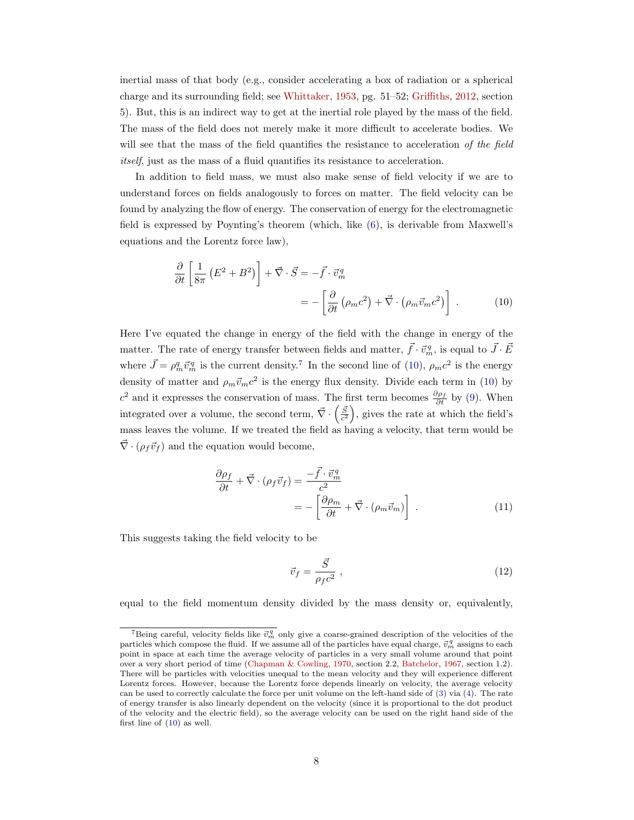inertial mass of that body (e.g., consider accelerating a box of radiation or a spherical charge and its surrounding field; see [Whittaker,](#page-25-1) [1953,](#page-25-1) pg. 51–52; [Griffiths,](#page-23-6) [2012,](#page-23-6) section 5). But, this is an indirect way to get at the inertial role played by the mass of the field. The mass of the field does not merely make it more difficult to accelerate bodies. We will see that the mass of the field quantifies the resistance to acceleration of the field itself, just as the mass of a fluid quantifies its resistance to acceleration.

In addition to field mass, we must also make sense of field velocity if we are to understand forces on fields analogously to forces on matter. The field velocity can be found by analyzing the flow of energy. The conservation of energy for the electromagnetic field is expressed by Poynting's theorem (which, like [\(6\)](#page-6-0), is derivable from Maxwell's equations and the Lorentz force law),

<span id="page-7-1"></span>
$$
\frac{\partial}{\partial t} \left[ \frac{1}{8\pi} \left( E^2 + B^2 \right) \right] + \vec{\nabla} \cdot \vec{S} = -\vec{f} \cdot \vec{v}_m^q
$$
\n
$$
= -\left[ \frac{\partial}{\partial t} \left( \rho_m c^2 \right) + \vec{\nabla} \cdot \left( \rho_m \vec{v}_m c^2 \right) \right] \,. \tag{10}
$$

Here I've equated the change in energy of the field with the change in energy of the matter. The rate of energy transfer between fields and matter,  $\vec{f} \cdot \vec{v}_m^q$ , is equal to  $\vec{J} \cdot \vec{E}$ where  $\vec{J} = \rho_m^q \vec{v}_m^q$  is the current density.<sup>[7](#page-7-0)</sup> In the second line of [\(10\)](#page-7-1),  $\rho_m c^2$  is the energy density of matter and  $\rho_m \vec{v}_m c^2$  is the energy flux density. Divide each term in [\(10\)](#page-7-1) by  $c^2$  and it expresses the conservation of mass. The first term becomes  $\frac{\partial \rho_f}{\partial t}$  by [\(9\)](#page-6-2). When integrated over a volume, the second term,  $\vec{\nabla} \cdot \left(\frac{\vec{S}}{c^2}\right)$ , gives the rate at which the field's mass leaves the volume. If we treated the field as having a velocity, that term would be  $\vec{\nabla} \cdot (\rho_f \vec{v}_f)$  and the equation would become,

$$
\frac{\partial \rho_f}{\partial t} + \vec{\nabla} \cdot (\rho_f \vec{v}_f) = \frac{-\vec{f} \cdot \vec{v}_m^q}{c^2} \n= -\left[\frac{\partial \rho_m}{\partial t} + \vec{\nabla} \cdot (\rho_m \vec{v}_m)\right].
$$
\n(11)

This suggests taking the field velocity to be

<span id="page-7-3"></span><span id="page-7-2"></span>
$$
\vec{v}_f = \frac{\vec{S}}{\rho_f c^2} \,,\tag{12}
$$

equal to the field momentum density divided by the mass density or, equivalently,

<span id="page-7-0"></span><sup>&</sup>lt;sup>7</sup>Being careful, velocity fields like  $\vec{v}_m^q$  only give a coarse-grained description of the velocities of the particles which compose the fluid. If we assume all of the particles have equal charge,  $\vec{v}_m^q$  assigns to each point in space at each time the average velocity of particles in a very small volume around that point over a very short period of time [\(Chapman & Cowling,](#page-22-3) [1970,](#page-22-3) section 2.2, [Batchelor,](#page-22-4) [1967,](#page-22-4) section 1.2). There will be particles with velocities unequal to the mean velocity and they will experience different Lorentz forces. However, because the Lorentz force depends linearly on velocity, the average velocity can be used to correctly calculate the force per unit volume on the left-hand side of [\(3\)](#page-5-2) via [\(4\)](#page-5-4). The rate of energy transfer is also linearly dependent on the velocity (since it is proportional to the dot product of the velocity and the electric field), so the average velocity can be used on the right hand side of the first line of [\(10\)](#page-7-1) as well.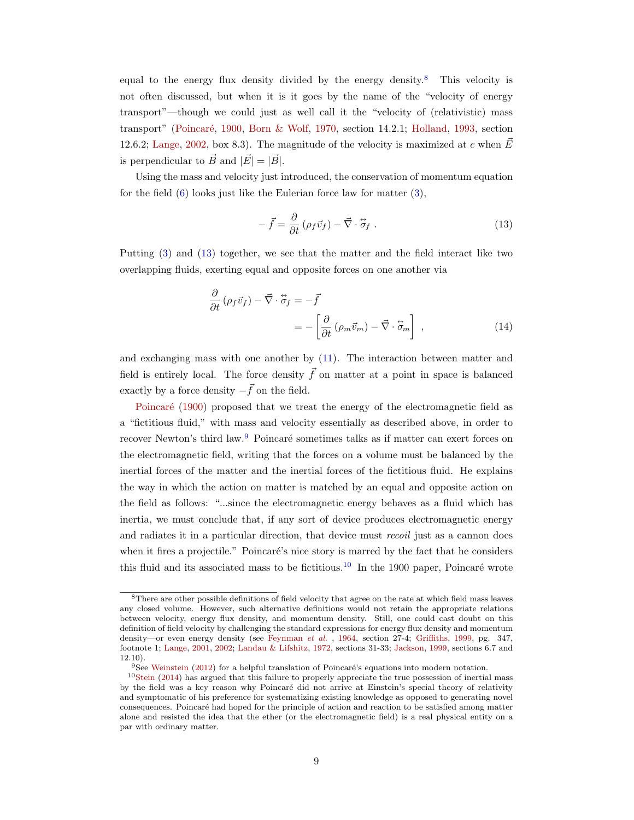equal to the energy flux density divided by the energy density.[8](#page-8-1) This velocity is not often discussed, but when it is it goes by the name of the "velocity of energy transport"—though we could just as well call it the "velocity of (relativistic) mass transport" (Poincaré, [1900,](#page-24-1) [Born & Wolf,](#page-22-5) [1970,](#page-22-5) section 14.2.1; [Holland,](#page-23-7) [1993,](#page-23-7) section 12.6.2; [Lange,](#page-24-2) [2002,](#page-24-2) box 8.3). The magnitude of the velocity is maximized at c when E is perpendicular to  $\vec{B}$  and  $|\vec{E}| = |\vec{B}|$ .

Using the mass and velocity just introduced, the conservation of momentum equation for the field [\(6\)](#page-6-0) looks just like the Eulerian force law for matter [\(3\)](#page-5-2),

<span id="page-8-0"></span>
$$
-\vec{f} = \frac{\partial}{\partial t} \left( \rho_f \vec{v}_f \right) - \vec{\nabla} \cdot \vec{\sigma}_f . \tag{13}
$$

Putting [\(3\)](#page-5-2) and [\(13\)](#page-8-0) together, we see that the matter and the field interact like two overlapping fluids, exerting equal and opposite forces on one another via

$$
\frac{\partial}{\partial t} \left( \rho_f \vec{v}_f \right) - \vec{\nabla} \cdot \vec{\sigma}_f = -\vec{f}
$$
\n
$$
= -\left[ \frac{\partial}{\partial t} \left( \rho_m \vec{v}_m \right) - \vec{\nabla} \cdot \vec{\sigma}_m \right], \qquad (14)
$$

and exchanging mass with one another by [\(11\)](#page-7-2). The interaction between matter and field is entirely local. The force density  $\vec{f}$  on matter at a point in space is balanced exactly by a force density  $-\vec{f}$  on the field.

Poincaré [\(1900\)](#page-24-1) proposed that we treat the energy of the electromagnetic field as a "fictitious fluid," with mass and velocity essentially as described above, in order to recover Newton's third law.<sup>[9](#page-8-2)</sup> Poincaré sometimes talks as if matter can exert forces on the electromagnetic field, writing that the forces on a volume must be balanced by the inertial forces of the matter and the inertial forces of the fictitious fluid. He explains the way in which the action on matter is matched by an equal and opposite action on the field as follows: "...since the electromagnetic energy behaves as a fluid which has inertia, we must conclude that, if any sort of device produces electromagnetic energy and radiates it in a particular direction, that device must *recoil* just as a cannon does when it fires a projectile." Poincaré's nice story is marred by the fact that he considers this fluid and its associated mass to be fictitious.<sup>[10](#page-8-3)</sup> In the 1900 paper, Poincaré wrote

<span id="page-8-1"></span><sup>8</sup>There are other possible definitions of field velocity that agree on the rate at which field mass leaves any closed volume. However, such alternative definitions would not retain the appropriate relations between velocity, energy flux density, and momentum density. Still, one could cast doubt on this definition of field velocity by challenging the standard expressions for energy flux density and momentum density—or even energy density (see [Feynman](#page-23-1) et al., [1964,](#page-23-1) section 27-4; [Griffiths,](#page-23-0) [1999,](#page-23-0) pg. 347, footnote 1; [Lange,](#page-24-7) [2001,](#page-24-7) [2002;](#page-24-2) [Landau & Lifshitz,](#page-23-3) [1972,](#page-23-3) sections 31-33; [Jackson,](#page-23-5) [1999,](#page-23-5) sections 6.7 and 12.10).

<span id="page-8-3"></span><span id="page-8-2"></span> $9$ See [Weinstein](#page-24-8) [\(2012\)](#page-24-8) for a helpful translation of Poincaré's equations into modern notation.

<sup>10</sup>[Stein](#page-24-9) [\(2014\)](#page-24-9) has argued that this failure to properly appreciate the true possession of inertial mass by the field was a key reason why Poincaré did not arrive at Einstein's special theory of relativity and symptomatic of his preference for systematizing existing knowledge as opposed to generating novel consequences. Poincar´e had hoped for the principle of action and reaction to be satisfied among matter alone and resisted the idea that the ether (or the electromagnetic field) is a real physical entity on a par with ordinary matter.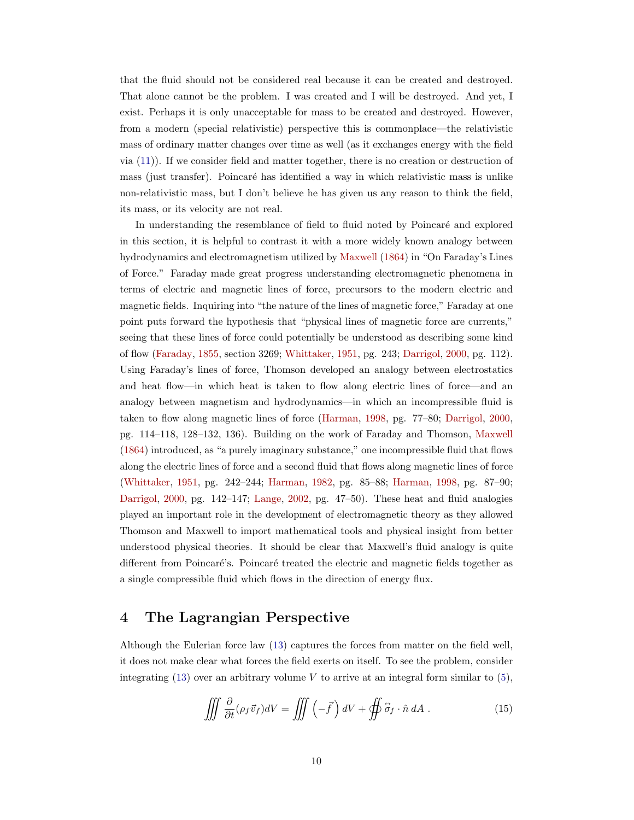that the fluid should not be considered real because it can be created and destroyed. That alone cannot be the problem. I was created and I will be destroyed. And yet, I exist. Perhaps it is only unacceptable for mass to be created and destroyed. However, from a modern (special relativistic) perspective this is commonplace—the relativistic mass of ordinary matter changes over time as well (as it exchanges energy with the field via [\(11\)](#page-7-2)). If we consider field and matter together, there is no creation or destruction of mass (just transfer). Poincaré has identified a way in which relativistic mass is unlike non-relativistic mass, but I don't believe he has given us any reason to think the field, its mass, or its velocity are not real.

In understanding the resemblance of field to fluid noted by Poincaré and explored in this section, it is helpful to contrast it with a more widely known analogy between hydrodynamics and electromagnetism utilized by [Maxwell](#page-24-10) [\(1864\)](#page-24-10) in "On Faraday's Lines of Force." Faraday made great progress understanding electromagnetic phenomena in terms of electric and magnetic lines of force, precursors to the modern electric and magnetic fields. Inquiring into "the nature of the lines of magnetic force," Faraday at one point puts forward the hypothesis that "physical lines of magnetic force are currents," seeing that these lines of force could potentially be understood as describing some kind of flow [\(Faraday,](#page-22-6) [1855,](#page-22-6) section 3269; [Whittaker,](#page-25-2) [1951,](#page-25-2) pg. 243; [Darrigol,](#page-22-7) [2000,](#page-22-7) pg. 112). Using Faraday's lines of force, Thomson developed an analogy between electrostatics and heat flow—in which heat is taken to flow along electric lines of force—and an analogy between magnetism and hydrodynamics—in which an incompressible fluid is taken to flow along magnetic lines of force [\(Harman,](#page-23-8) [1998,](#page-23-8) pg. 77–80; [Darrigol,](#page-22-7) [2000,](#page-22-7) pg. 114–118, 128–132, 136). Building on the work of Faraday and Thomson, [Maxwell](#page-24-10) [\(1864\)](#page-24-10) introduced, as "a purely imaginary substance," one incompressible fluid that flows along the electric lines of force and a second fluid that flows along magnetic lines of force [\(Whittaker,](#page-25-2) [1951,](#page-25-2) pg. 242–244; [Harman,](#page-23-9) [1982,](#page-23-9) pg. 85–88; [Harman,](#page-23-8) [1998,](#page-23-8) pg. 87–90; [Darrigol,](#page-22-7) [2000,](#page-22-7) pg. 142–147; [Lange,](#page-24-2) [2002,](#page-24-2) pg. 47–50). These heat and fluid analogies played an important role in the development of electromagnetic theory as they allowed Thomson and Maxwell to import mathematical tools and physical insight from better understood physical theories. It should be clear that Maxwell's fluid analogy is quite different from Poincaré's. Poincaré treated the electric and magnetic fields together as a single compressible fluid which flows in the direction of energy flux.

#### <span id="page-9-1"></span>4 The Lagrangian Perspective

Although the Eulerian force law [\(13\)](#page-8-0) captures the forces from matter on the field well, it does not make clear what forces the field exerts on itself. To see the problem, consider integrating  $(13)$  over an arbitrary volume V to arrive at an integral form similar to  $(5)$ ,

<span id="page-9-0"></span>
$$
\iiint \frac{\partial}{\partial t} (\rho_f \vec{v}_f) dV = \iiint \left( -\vec{f} \right) dV + \oiint \vec{\sigma}_f \cdot \hat{n} dA . \qquad (15)
$$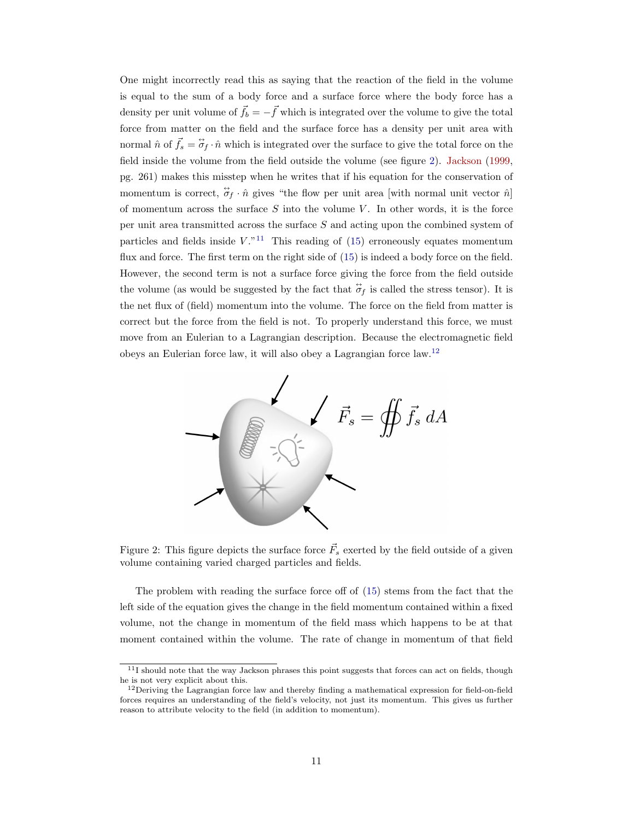One might incorrectly read this as saying that the reaction of the field in the volume is equal to the sum of a body force and a surface force where the body force has a density per unit volume of  $\vec{f}_b = -\vec{f}$  which is integrated over the volume to give the total force from matter on the field and the surface force has a density per unit area with normal  $\hat{n}$  of  $\vec{f}_s = \vec{\sigma}_f \cdot \hat{n}$  which is integrated over the surface to give the total force on the field inside the volume from the field outside the volume (see figure [2\)](#page-10-0). [Jackson](#page-23-5) [\(1999,](#page-23-5) pg. 261) makes this misstep when he writes that if his equation for the conservation of momentum is correct,  $\ddot{\sigma}_f \cdot \hat{n}$  gives "the flow per unit area [with normal unit vector  $\hat{n}$ ] of momentum across the surface  $S$  into the volume  $V$ . In other words, it is the force per unit area transmitted across the surface S and acting upon the combined system of particles and fields inside  $V$ ."<sup>[11](#page-10-1)</sup> This reading of [\(15\)](#page-9-0) erroneously equates momentum flux and force. The first term on the right side of [\(15\)](#page-9-0) is indeed a body force on the field. However, the second term is not a surface force giving the force from the field outside the volume (as would be suggested by the fact that  $\vec{\sigma}_f$  is called the stress tensor). It is the net flux of (field) momentum into the volume. The force on the field from matter is correct but the force from the field is not. To properly understand this force, we must move from an Eulerian to a Lagrangian description. Because the electromagnetic field obeys an Eulerian force law, it will also obey a Lagrangian force law.[12](#page-10-2)



<span id="page-10-0"></span>Figure 2: This figure depicts the surface force  $\vec{F}_s$  exerted by the field outside of a given volume containing varied charged particles and fields.

The problem with reading the surface force off of [\(15\)](#page-9-0) stems from the fact that the left side of the equation gives the change in the field momentum contained within a fixed volume, not the change in momentum of the field mass which happens to be at that moment contained within the volume. The rate of change in momentum of that field

<span id="page-10-1"></span><sup>&</sup>lt;sup>11</sup>I should note that the way Jackson phrases this point suggests that forces can act on fields, though he is not very explicit about this.

<span id="page-10-2"></span><sup>&</sup>lt;sup>12</sup> Deriving the Lagrangian force law and thereby finding a mathematical expression for field-on-field forces requires an understanding of the field's velocity, not just its momentum. This gives us further reason to attribute velocity to the field (in addition to momentum).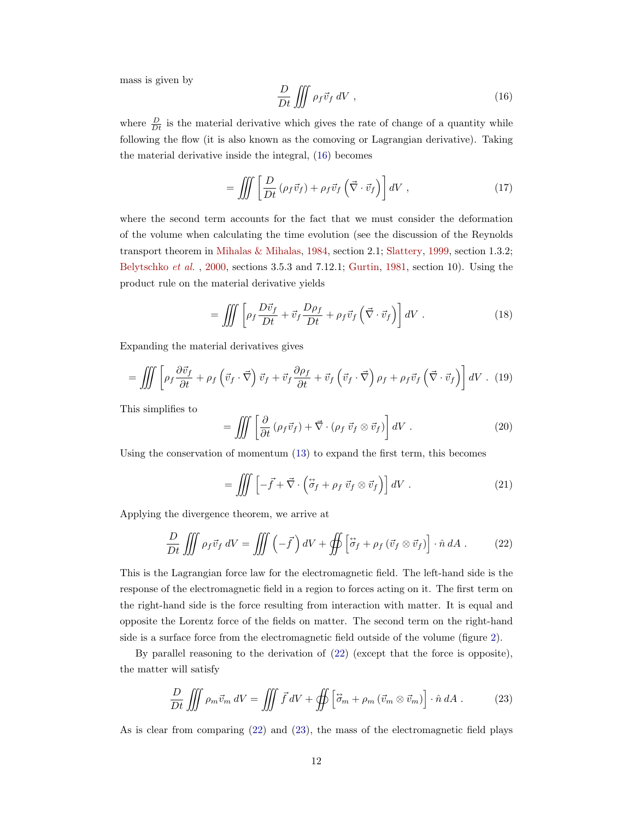mass is given by

<span id="page-11-1"></span>
$$
\frac{D}{Dt} \iiint \rho_f \vec{v}_f \, dV \,, \tag{16}
$$

where  $\frac{D}{Dt}$  is the material derivative which gives the rate of change of a quantity while following the flow (it is also known as the comoving or Lagrangian derivative). Taking the material derivative inside the integral, [\(16\)](#page-11-1) becomes

$$
= \iiint \left[ \frac{D}{Dt} \left( \rho_f \vec{v}_f \right) + \rho_f \vec{v}_f \left( \vec{\nabla} \cdot \vec{v}_f \right) \right] dV , \qquad (17)
$$

where the second term accounts for the fact that we must consider the deformation of the volume when calculating the time evolution (see the discussion of the Reynolds transport theorem in [Mihalas & Mihalas,](#page-24-6) [1984,](#page-24-6) section 2.1; [Slattery,](#page-24-11) [1999,](#page-24-11) section 1.3.2; [Belytschko](#page-22-8) et al., [2000,](#page-22-8) sections 3.5.3 and 7.12.1; [Gurtin,](#page-23-10) [1981,](#page-23-10) section 10). Using the product rule on the material derivative yields

<span id="page-11-3"></span>
$$
= \iiint \left[ \rho_f \frac{D \vec{v}_f}{Dt} + \vec{v}_f \frac{D \rho_f}{Dt} + \rho_f \vec{v}_f \left( \vec{\nabla} \cdot \vec{v}_f \right) \right] dV \ . \tag{18}
$$

Expanding the material derivatives gives

$$
= \iiint \left[ \rho_f \frac{\partial \vec{v}_f}{\partial t} + \rho_f \left( \vec{v}_f \cdot \vec{\nabla} \right) \vec{v}_f + \vec{v}_f \frac{\partial \rho_f}{\partial t} + \vec{v}_f \left( \vec{v}_f \cdot \vec{\nabla} \right) \rho_f + \rho_f \vec{v}_f \left( \vec{\nabla} \cdot \vec{v}_f \right) \right] dV \quad (19)
$$

This simplifies to

$$
= \iiint \left[ \frac{\partial}{\partial t} \left( \rho_f \vec{v}_f \right) + \vec{\nabla} \cdot \left( \rho_f \vec{v}_f \otimes \vec{v}_f \right) \right] dV \ . \tag{20}
$$

Using the conservation of momentum [\(13\)](#page-8-0) to expand the first term, this becomes

<span id="page-11-4"></span>
$$
= \iiint \left[ -\vec{f} + \vec{\nabla} \cdot \left( \vec{\sigma}_f + \rho_f \, \vec{v}_f \otimes \vec{v}_f \right) \right] dV \,. \tag{21}
$$

Applying the divergence theorem, we arrive at

<span id="page-11-0"></span>
$$
\frac{D}{Dt} \iiint \rho_f \vec{v}_f \, dV = \iiint \left( -\vec{f} \right) dV + \oiint \left[ \vec{\sigma}_f + \rho_f \left( \vec{v}_f \otimes \vec{v}_f \right) \right] \cdot \hat{n} \, dA \,. \tag{22}
$$

This is the Lagrangian force law for the electromagnetic field. The left-hand side is the response of the electromagnetic field in a region to forces acting on it. The first term on the right-hand side is the force resulting from interaction with matter. It is equal and opposite the Lorentz force of the fields on matter. The second term on the right-hand side is a surface force from the electromagnetic field outside of the volume (figure [2\)](#page-10-0).

By parallel reasoning to the derivation of [\(22\)](#page-11-0) (except that the force is opposite), the matter will satisfy

<span id="page-11-2"></span>
$$
\frac{D}{Dt} \iiint \rho_m \vec{v}_m \, dV = \iiint \vec{f} \, dV + \oiint \left[ \vec{\sigma}_m + \rho_m \left( \vec{v}_m \otimes \vec{v}_m \right) \right] \cdot \hat{n} \, dA \,. \tag{23}
$$

As is clear from comparing [\(22\)](#page-11-0) and [\(23\)](#page-11-2), the mass of the electromagnetic field plays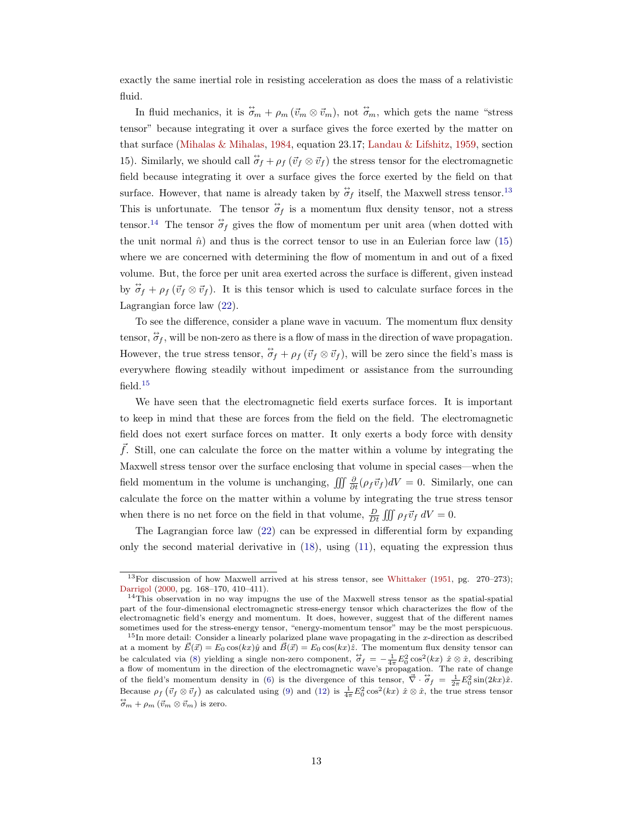exactly the same inertial role in resisting acceleration as does the mass of a relativistic fluid.

In fluid mechanics, it is  $\ddot{\sigma}_m + \rho_m (\vec{v}_m \otimes \vec{v}_m)$ , not  $\ddot{\sigma}_m$ , which gets the name "stress tensor" because integrating it over a surface gives the force exerted by the matter on that surface [\(Mihalas & Mihalas,](#page-24-6) [1984,](#page-24-6) equation 23.17; [Landau & Lifshitz,](#page-23-4) [1959,](#page-23-4) section 15). Similarly, we should call  $\vec{\sigma}_f + \rho_f (\vec{v}_f \otimes \vec{v}_f)$  the stress tensor for the electromagnetic field because integrating it over a surface gives the force exerted by the field on that surface. However, that name is already taken by  $\ddot{\sigma}_f$  itself, the Maxwell stress tensor.<sup>[13](#page-12-0)</sup> This is unfortunate. The tensor  $\hat{\sigma}_f$  is a momentum flux density tensor, not a stress tensor.<sup>[14](#page-12-1)</sup> The tensor  $\vec{\sigma}_f$  gives the flow of momentum per unit area (when dotted with the unit normal  $\hat{n}$ ) and thus is the correct tensor to use in an Eulerian force law [\(15\)](#page-9-0) where we are concerned with determining the flow of momentum in and out of a fixed volume. But, the force per unit area exerted across the surface is different, given instead by  $\dot{\vec{\sigma}}_f + \rho_f (\vec{v}_f \otimes \vec{v}_f)$ . It is this tensor which is used to calculate surface forces in the Lagrangian force law [\(22\)](#page-11-0).

To see the difference, consider a plane wave in vacuum. The momentum flux density tensor,  $\ddot{\sigma}_f$ , will be non-zero as there is a flow of mass in the direction of wave propagation. However, the true stress tensor,  $\dot{\vec{\sigma}}_f + \rho_f (\vec{v}_f \otimes \vec{v}_f)$ , will be zero since the field's mass is everywhere flowing steadily without impediment or assistance from the surrounding field. $15$ 

We have seen that the electromagnetic field exerts surface forces. It is important to keep in mind that these are forces from the field on the field. The electromagnetic field does not exert surface forces on matter. It only exerts a body force with density  $\tilde{f}$ . Still, one can calculate the force on the matter within a volume by integrating the Maxwell stress tensor over the surface enclosing that volume in special cases—when the field momentum in the volume is unchanging,  $\iiint \frac{\partial}{\partial t} (\rho_f \vec{v}_f) dV = 0$ . Similarly, one can calculate the force on the matter within a volume by integrating the true stress tensor when there is no net force on the field in that volume,  $\frac{D}{Dt} \iiint \rho_f \vec{v}_f dV = 0$ .

The Lagrangian force law [\(22\)](#page-11-0) can be expressed in differential form by expanding only the second material derivative in [\(18\)](#page-11-3), using [\(11\)](#page-7-2), equating the expression thus

<span id="page-12-0"></span><sup>13</sup>For discussion of how Maxwell arrived at his stress tensor, see [Whittaker](#page-25-2) [\(1951,](#page-25-2) pg. 270–273); [Darrigol](#page-22-7) [\(2000,](#page-22-7) pg. 168–170, 410–411).

<span id="page-12-1"></span><sup>&</sup>lt;sup>14</sup>This observation in no way impugns the use of the Maxwell stress tensor as the spatial-spatial part of the four-dimensional electromagnetic stress-energy tensor which characterizes the flow of the electromagnetic field's energy and momentum. It does, however, suggest that of the different names sometimes used for the stress-energy tensor, "energy-momentum tensor" may be the most perspicuous.

<span id="page-12-2"></span><sup>&</sup>lt;sup>15</sup>In more detail: Consider a linearly polarized plane wave propagating in the x-direction as described at a moment by  $\vec{E}(\vec{x}) = E_0 \cos(kx) \hat{y}$  and  $\vec{B}(\vec{x}) = E_0 \cos(kx) \hat{z}$ . The momentum flux density tensor can be calculated via [\(8\)](#page-6-3) yielding a single non-zero component,  $\vec{\sigma}_f = -\frac{1}{4\pi} E_0^2 \cos^2(kx) \hat{x} \otimes \hat{x}$ , describing a flow of momentum in the direction of the electromagnetic wave's propagation. The rate of change of the field's momentum density in [\(6\)](#page-6-0) is the divergence of this tensor,  $\vec{\nabla} \cdot \vec{\sigma}_f = \frac{1}{2\pi} E_0^2 \sin(2kx) \hat{x}$ . Because  $\rho_f$   $(\vec{v}_f \otimes \vec{v}_f)$  as calculated using [\(9\)](#page-6-2) and [\(12\)](#page-7-3) is  $\frac{1}{4\pi}E_0^2 \cos^2(kx) \hat{x} \otimes \hat{x}$ , the true stress tensor  $\overleftrightarrow{\sigma}_m + \rho_m (\overrightarrow{v}_m \otimes \overrightarrow{v}_m)$  is zero.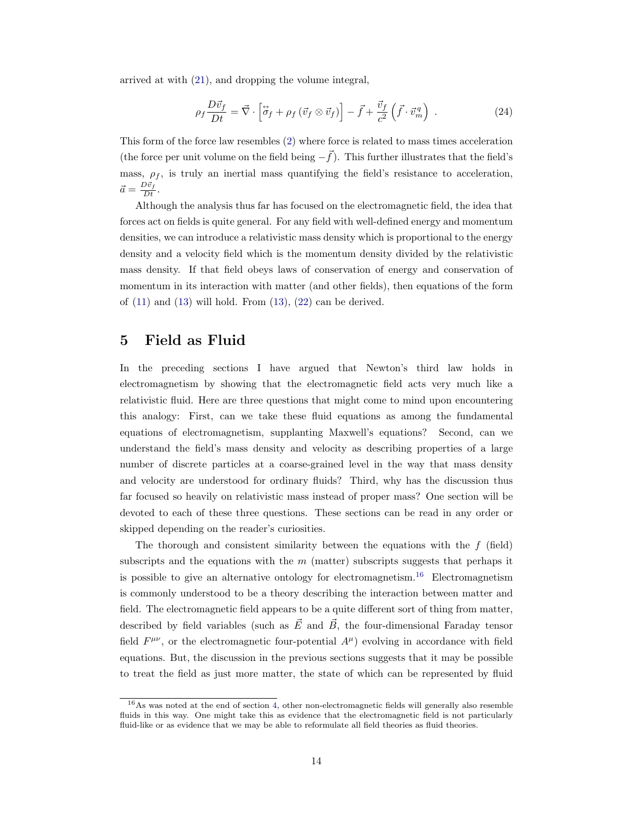arrived at with [\(21\)](#page-11-4), and dropping the volume integral,

<span id="page-13-1"></span>
$$
\rho_f \frac{D \vec{v}_f}{Dt} = \vec{\nabla} \cdot \left[ \vec{\sigma}_f + \rho_f \left( \vec{v}_f \otimes \vec{v}_f \right) \right] - \vec{f} + \frac{\vec{v}_f}{c^2} \left( \vec{f} \cdot \vec{v}_m^q \right) \ . \tag{24}
$$

This form of the force law resembles [\(2\)](#page-4-2) where force is related to mass times acceleration (the force per unit volume on the field being  $-\vec{f}$ ). This further illustrates that the field's mass,  $\rho_f$ , is truly an inertial mass quantifying the field's resistance to acceleration,  $\vec{a} = \frac{D\vec{v}_f}{Dt}.$ 

Although the analysis thus far has focused on the electromagnetic field, the idea that forces act on fields is quite general. For any field with well-defined energy and momentum densities, we can introduce a relativistic mass density which is proportional to the energy density and a velocity field which is the momentum density divided by the relativistic mass density. If that field obeys laws of conservation of energy and conservation of momentum in its interaction with matter (and other fields), then equations of the form of  $(11)$  and  $(13)$  will hold. From  $(13)$ ,  $(22)$  can be derived.

#### 5 Field as Fluid

In the preceding sections I have argued that Newton's third law holds in electromagnetism by showing that the electromagnetic field acts very much like a relativistic fluid. Here are three questions that might come to mind upon encountering this analogy: First, can we take these fluid equations as among the fundamental equations of electromagnetism, supplanting Maxwell's equations? Second, can we understand the field's mass density and velocity as describing properties of a large number of discrete particles at a coarse-grained level in the way that mass density and velocity are understood for ordinary fluids? Third, why has the discussion thus far focused so heavily on relativistic mass instead of proper mass? One section will be devoted to each of these three questions. These sections can be read in any order or skipped depending on the reader's curiosities.

The thorough and consistent similarity between the equations with the  $f$  (field) subscripts and the equations with the  $m$  (matter) subscripts suggests that perhaps it is possible to give an alternative ontology for electromagnetism.<sup>[16](#page-13-0)</sup> Electromagnetism is commonly understood to be a theory describing the interaction between matter and field. The electromagnetic field appears to be a quite different sort of thing from matter, described by field variables (such as  $\vec{E}$  and  $\vec{B}$ , the four-dimensional Faraday tensor field  $F^{\mu\nu}$ , or the electromagnetic four-potential  $A^{\mu}$ ) evolving in accordance with field equations. But, the discussion in the previous sections suggests that it may be possible to treat the field as just more matter, the state of which can be represented by fluid

<span id="page-13-0"></span> $16$ As was noted at the end of section [4,](#page-9-1) other non-electromagnetic fields will generally also resemble fluids in this way. One might take this as evidence that the electromagnetic field is not particularly fluid-like or as evidence that we may be able to reformulate all field theories as fluid theories.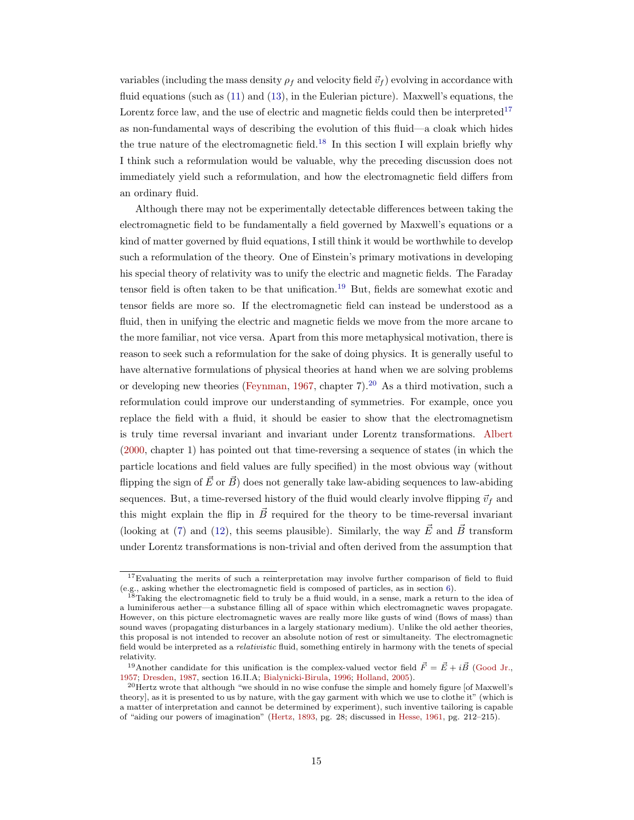variables (including the mass density  $\rho_f$  and velocity field  $\vec{v}_f$ ) evolving in accordance with fluid equations (such as [\(11\)](#page-7-2) and [\(13\)](#page-8-0), in the Eulerian picture). Maxwell's equations, the Lorentz force law, and the use of electric and magnetic fields could then be interpreted<sup>[17](#page-14-0)</sup> as non-fundamental ways of describing the evolution of this fluid—a cloak which hides the true nature of the electromagnetic field.<sup>[18](#page-14-1)</sup> In this section I will explain briefly why I think such a reformulation would be valuable, why the preceding discussion does not immediately yield such a reformulation, and how the electromagnetic field differs from an ordinary fluid.

Although there may not be experimentally detectable differences between taking the electromagnetic field to be fundamentally a field governed by Maxwell's equations or a kind of matter governed by fluid equations, I still think it would be worthwhile to develop such a reformulation of the theory. One of Einstein's primary motivations in developing his special theory of relativity was to unify the electric and magnetic fields. The Faraday tensor field is often taken to be that unification.[19](#page-14-2) But, fields are somewhat exotic and tensor fields are more so. If the electromagnetic field can instead be understood as a fluid, then in unifying the electric and magnetic fields we move from the more arcane to the more familiar, not vice versa. Apart from this more metaphysical motivation, there is reason to seek such a reformulation for the sake of doing physics. It is generally useful to have alternative formulations of physical theories at hand when we are solving problems or developing new theories [\(Feynman,](#page-22-9) [1967,](#page-22-9) chapter 7).<sup>[20](#page-14-3)</sup> As a third motivation, such a reformulation could improve our understanding of symmetries. For example, once you replace the field with a fluid, it should be easier to show that the electromagnetism is truly time reversal invariant and invariant under Lorentz transformations. [Albert](#page-22-10) [\(2000,](#page-22-10) chapter 1) has pointed out that time-reversing a sequence of states (in which the particle locations and field values are fully specified) in the most obvious way (without flipping the sign of  $\vec{E}$  or  $\vec{B}$ ) does not generally take law-abiding sequences to law-abiding sequences. But, a time-reversed history of the fluid would clearly involve flipping  $\vec{v}_f$  and this might explain the flip in  $\vec{B}$  required for the theory to be time-reversal invariant (looking at [\(7\)](#page-6-4) and [\(12\)](#page-7-3), this seems plausible). Similarly, the way  $\vec{E}$  and  $\vec{B}$  transform under Lorentz transformations is non-trivial and often derived from the assumption that

<span id="page-14-0"></span><sup>&</sup>lt;sup>17</sup>Evaluating the merits of such a reinterpretation may involve further comparison of field to fluid (e.g., asking whether the electromagnetic field is composed of particles, as in section [6\)](#page-16-0).

<span id="page-14-1"></span><sup>&</sup>lt;sup>18</sup>Taking the electromagnetic field to truly be a fluid would, in a sense, mark a return to the idea of a luminiferous aether—a substance filling all of space within which electromagnetic waves propagate. However, on this picture electromagnetic waves are really more like gusts of wind (flows of mass) than sound waves (propagating disturbances in a largely stationary medium). Unlike the old aether theories, this proposal is not intended to recover an absolute notion of rest or simultaneity. The electromagnetic field would be interpreted as a relativistic fluid, something entirely in harmony with the tenets of special relativity.

<span id="page-14-2"></span><sup>&</sup>lt;sup>19</sup>Another candidate for this unification is the complex-valued vector field  $\vec{F} = \vec{E} + i\vec{B}$  [\(Good Jr.,](#page-23-11) [1957;](#page-23-11) [Dresden,](#page-22-11) [1987,](#page-22-11) section 16.II.A; [Bialynicki-Birula,](#page-22-12) [1996;](#page-22-12) [Holland,](#page-23-12) [2005\)](#page-23-12).

<span id="page-14-3"></span><sup>&</sup>lt;sup>20</sup>Hertz wrote that although "we should in no wise confuse the simple and homely figure [of Maxwell's theory], as it is presented to us by nature, with the gay garment with which we use to clothe it" (which is a matter of interpretation and cannot be determined by experiment), such inventive tailoring is capable of "aiding our powers of imagination" [\(Hertz,](#page-23-13) [1893,](#page-23-13) pg. 28; discussed in [Hesse,](#page-23-14) [1961,](#page-23-14) pg. 212–215).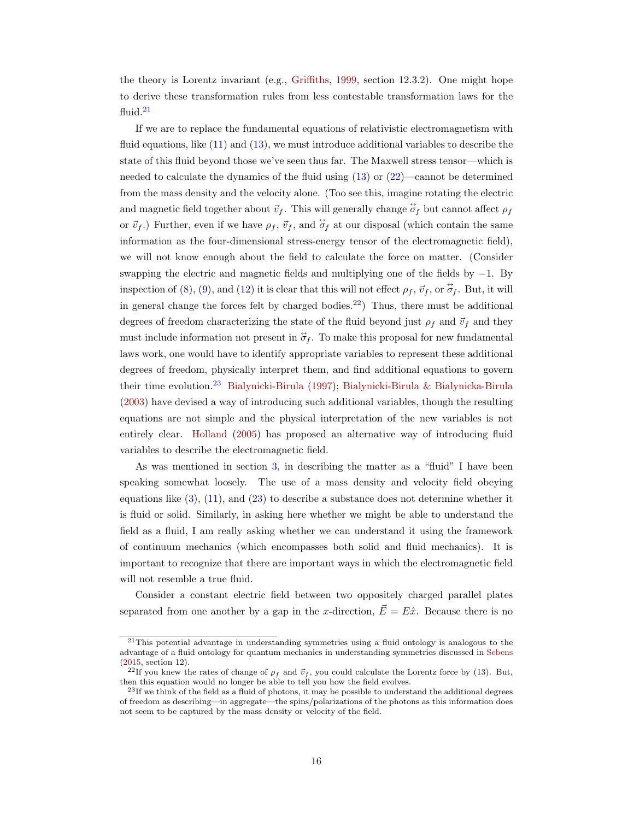the theory is Lorentz invariant (e.g., [Griffiths,](#page-23-0) [1999,](#page-23-0) section 12.3.2). One might hope to derive these transformation rules from less contestable transformation laws for the fluid.<sup>[21](#page-15-0)</sup>

If we are to replace the fundamental equations of relativistic electromagnetism with fluid equations, like [\(11\)](#page-7-2) and [\(13\)](#page-8-0), we must introduce additional variables to describe the state of this fluid beyond those we've seen thus far. The Maxwell stress tensor—which is needed to calculate the dynamics of the fluid using [\(13\)](#page-8-0) or [\(22\)](#page-11-0)—cannot be determined from the mass density and the velocity alone. (Too see this, imagine rotating the electric and magnetic field together about  $\vec{v}_f$ . This will generally change  $\dot{\vec{\sigma}}_f$  but cannot affect  $\rho_f$ or  $\vec{v}_f$ .) Further, even if we have  $\rho_f$ ,  $\vec{v}_f$ , and  $\vec{\sigma}_f$  at our disposal (which contain the same information as the four-dimensional stress-energy tensor of the electromagnetic field), we will not know enough about the field to calculate the force on matter. (Consider swapping the electric and magnetic fields and multiplying one of the fields by  $-1$ . By inspection of [\(8\)](#page-6-3), [\(9\)](#page-6-2), and [\(12\)](#page-7-3) it is clear that this will not effect  $\rho_f$ ,  $\vec{v}_f$ , or  $\vec{\sigma}_f$ . But, it will in general change the forces felt by charged bodies.<sup>[22](#page-15-1)</sup>) Thus, there must be additional degrees of freedom characterizing the state of the fluid beyond just  $\rho_f$  and  $\vec{v}_f$  and they must include information not present in  $\ddot{\sigma}_f$ . To make this proposal for new fundamental laws work, one would have to identify appropriate variables to represent these additional degrees of freedom, physically interpret them, and find additional equations to govern their time evolution.[23](#page-15-2) [Bialynicki-Birula](#page-22-13) [\(1997\)](#page-22-13); [Bialynicki-Birula & Bialynicka-Birula](#page-22-14) [\(2003\)](#page-22-14) have devised a way of introducing such additional variables, though the resulting equations are not simple and the physical interpretation of the new variables is not entirely clear. [Holland](#page-23-12) [\(2005\)](#page-23-12) has proposed an alternative way of introducing fluid variables to describe the electromagnetic field.

As was mentioned in section [3,](#page-4-3) in describing the matter as a "fluid" I have been speaking somewhat loosely. The use of a mass density and velocity field obeying equations like [\(3\)](#page-5-2), [\(11\)](#page-7-2), and [\(23\)](#page-11-2) to describe a substance does not determine whether it is fluid or solid. Similarly, in asking here whether we might be able to understand the field as a fluid, I am really asking whether we can understand it using the framework of continuum mechanics (which encompasses both solid and fluid mechanics). It is important to recognize that there are important ways in which the electromagnetic field will not resemble a true fluid.

Consider a constant electric field between two oppositely charged parallel plates separated from one another by a gap in the x-direction,  $\vec{E} = E\hat{x}$ . Because there is no

<span id="page-15-0"></span><sup>&</sup>lt;sup>21</sup>This potential advantage in understanding symmetries using a fluid ontology is analogous to the advantage of a fluid ontology for quantum mechanics in understanding symmetries discussed in [Sebens](#page-24-12) [\(2015,](#page-24-12) section 12).

<span id="page-15-1"></span><sup>&</sup>lt;sup>22</sup>If you knew the rates of change of  $\rho_f$  and  $\vec{v}_f$ , you could calculate the Lorentz force by [\(13\)](#page-8-0). But, then this equation would no longer be able to tell you how the field evolves.

<span id="page-15-2"></span> $^{23}$ If we think of the field as a fluid of photons, it may be possible to understand the additional degrees of freedom as describing—in aggregate—the spins/polarizations of the photons as this information does not seem to be captured by the mass density or velocity of the field.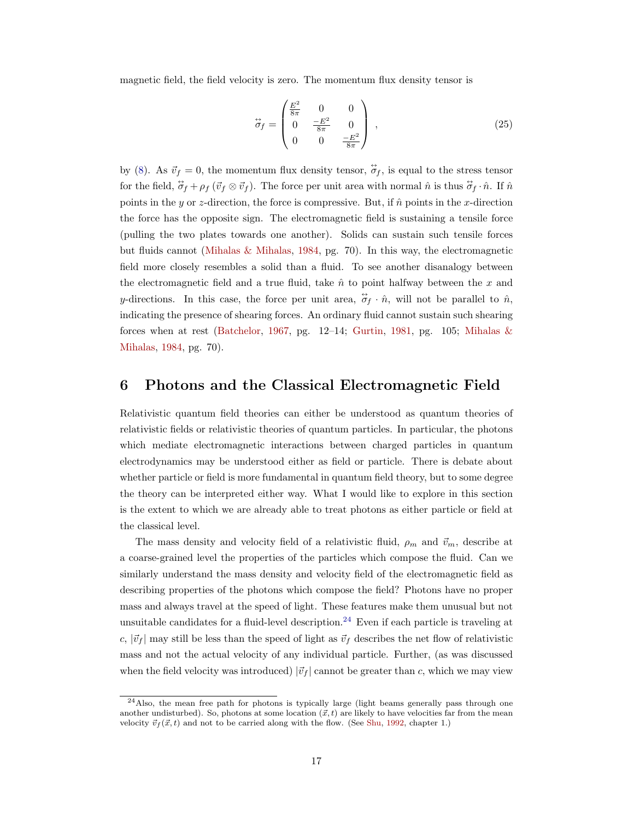magnetic field, the field velocity is zero. The momentum flux density tensor is

$$
\vec{\sigma}_f = \begin{pmatrix} \frac{E^2}{8\pi} & 0 & 0\\ 0 & \frac{-E^2}{8\pi} & 0\\ 0 & 0 & \frac{-E^2}{8\pi} \end{pmatrix} ,
$$
 (25)

by [\(8\)](#page-6-3). As  $\vec{v}_f = 0$ , the momentum flux density tensor,  $\vec{\sigma}_f$ , is equal to the stress tensor for the field,  $\dot{\vec{\sigma}}_f + \rho_f (\vec{v}_f \otimes \vec{v}_f)$ . The force per unit area with normal  $\hat{n}$  is thus  $\dot{\vec{\sigma}}_f \cdot \hat{n}$ . If  $\hat{n}$ points in the y or z-direction, the force is compressive. But, if  $\hat{n}$  points in the x-direction the force has the opposite sign. The electromagnetic field is sustaining a tensile force (pulling the two plates towards one another). Solids can sustain such tensile forces but fluids cannot [\(Mihalas & Mihalas,](#page-24-6) [1984,](#page-24-6) pg. 70). In this way, the electromagnetic field more closely resembles a solid than a fluid. To see another disanalogy between the electromagnetic field and a true fluid, take  $\hat{n}$  to point halfway between the x and y-directions. In this case, the force per unit area,  $\ddot{\sigma}_f \cdot \hat{n}$ , will not be parallel to  $\hat{n}$ , indicating the presence of shearing forces. An ordinary fluid cannot sustain such shearing forces when at rest [\(Batchelor,](#page-22-4) [1967,](#page-22-4) pg. 12–14; [Gurtin,](#page-23-10) [1981,](#page-23-10) pg. 105; Mihalas  $\&$ [Mihalas,](#page-24-6) [1984,](#page-24-6) pg. 70).

#### <span id="page-16-0"></span>6 Photons and the Classical Electromagnetic Field

Relativistic quantum field theories can either be understood as quantum theories of relativistic fields or relativistic theories of quantum particles. In particular, the photons which mediate electromagnetic interactions between charged particles in quantum electrodynamics may be understood either as field or particle. There is debate about whether particle or field is more fundamental in quantum field theory, but to some degree the theory can be interpreted either way. What I would like to explore in this section is the extent to which we are already able to treat photons as either particle or field at the classical level.

The mass density and velocity field of a relativistic fluid,  $\rho_m$  and  $\vec{v}_m$ , describe at a coarse-grained level the properties of the particles which compose the fluid. Can we similarly understand the mass density and velocity field of the electromagnetic field as describing properties of the photons which compose the field? Photons have no proper mass and always travel at the speed of light. These features make them unusual but not unsuitable candidates for a fluid-level description.<sup>[24](#page-16-1)</sup> Even if each particle is traveling at  $c, |\vec{v}_f|$  may still be less than the speed of light as  $\vec{v}_f$  describes the net flow of relativistic mass and not the actual velocity of any individual particle. Further, (as was discussed when the field velocity was introduced)  $|\vec{v}_f|$  cannot be greater than c, which we may view

<span id="page-16-1"></span><sup>&</sup>lt;sup>24</sup>Also, the mean free path for photons is typically large (light beams generally pass through one another undisturbed). So, photons at some location  $(\vec{x}, t)$  are likely to have velocities far from the mean velocity  $\vec{v}_f(\vec{x}, t)$  and not to be carried along with the flow. (See [Shu,](#page-24-13) [1992,](#page-24-13) chapter 1.)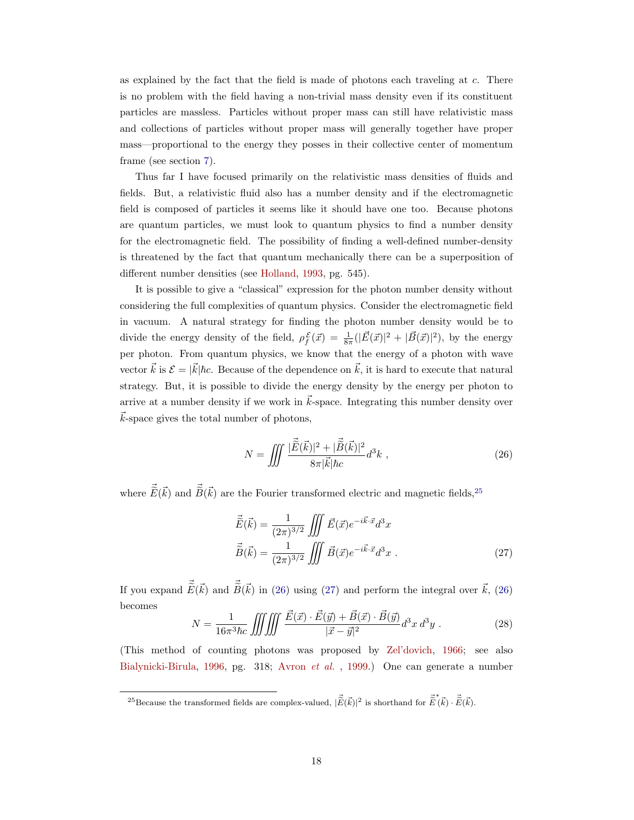as explained by the fact that the field is made of photons each traveling at c. There is no problem with the field having a non-trivial mass density even if its constituent particles are massless. Particles without proper mass can still have relativistic mass and collections of particles without proper mass will generally together have proper mass—proportional to the energy they posses in their collective center of momentum frame (see section [7\)](#page-18-0).

Thus far I have focused primarily on the relativistic mass densities of fluids and fields. But, a relativistic fluid also has a number density and if the electromagnetic field is composed of particles it seems like it should have one too. Because photons are quantum particles, we must look to quantum physics to find a number density for the electromagnetic field. The possibility of finding a well-defined number-density is threatened by the fact that quantum mechanically there can be a superposition of different number densities (see [Holland,](#page-23-7) [1993,](#page-23-7) pg. 545).

It is possible to give a "classical" expression for the photon number density without considering the full complexities of quantum physics. Consider the electromagnetic field in vacuum. A natural strategy for finding the photon number density would be to divide the energy density of the field,  $\rho_f^{\mathcal{E}}(\vec{x}) = \frac{1}{8\pi}(|\vec{E}(\vec{x})|^2 + |\vec{B}(\vec{x})|^2)$ , by the energy per photon. From quantum physics, we know that the energy of a photon with wave vector  $\vec{k}$  is  $\mathcal{E} = |\vec{k}| \hbar c$ . Because of the dependence on  $\vec{k}$ , it is hard to execute that natural strategy. But, it is possible to divide the energy density by the energy per photon to arrive at a number density if we work in  $k$ -space. Integrating this number density over  $\vec{k}$ -space gives the total number of photons,

<span id="page-17-1"></span>
$$
N = \iiint \frac{|\vec{\tilde{E}}(\vec{k})|^2 + |\vec{\tilde{B}}(\vec{k})|^2}{8\pi |\vec{k}| \hbar c} d^3k , \qquad (26)
$$

where  $\vec{\tilde{E}}(\vec{k})$  and  $\vec{\tilde{B}}(\vec{k})$  are the Fourier transformed electric and magnetic fields,<sup>[25](#page-17-0)</sup>

<span id="page-17-2"></span>
$$
\vec{\tilde{E}}(\vec{k}) = \frac{1}{(2\pi)^{3/2}} \iiint \vec{E}(\vec{x}) e^{-i\vec{k}\cdot\vec{x}} d^3x
$$
\n
$$
\vec{\tilde{B}}(\vec{k}) = \frac{1}{(2\pi)^{3/2}} \iiint \vec{B}(\vec{x}) e^{-i\vec{k}\cdot\vec{x}} d^3x
$$
\n(27)

If you expand  $\vec{\tilde{E}}(\vec{k})$  and  $\vec{\tilde{B}}(\vec{k})$  in [\(26\)](#page-17-1) using [\(27\)](#page-17-2) and perform the integral over  $\vec{k}$ , (26) becomes

$$
N = \frac{1}{16\pi^3\hbar c} \iiint\iiint \frac{\vec{E}(\vec{x}) \cdot \vec{E}(\vec{y}) + \vec{B}(\vec{x}) \cdot \vec{B}(\vec{y})}{|\vec{x} - \vec{y}|^2} d^3x d^3y . \tag{28}
$$

(This method of counting photons was proposed by [Zel'dovich,](#page-25-3) [1966;](#page-25-3) see also [Bialynicki-Birula,](#page-22-12) [1996,](#page-22-12) pg. 318; [Avron](#page-22-15) *et al.*, [1999.](#page-22-15)) One can generate a number

<span id="page-17-0"></span><sup>25</sup>Because the transformed fields are complex-valued,  $|\vec{\tilde{E}}(\vec{k})|^2$  is shorthand for  $\vec{\tilde{E}}$  $(\vec{k}) \cdot \vec{\tilde{E}}(\vec{k}).$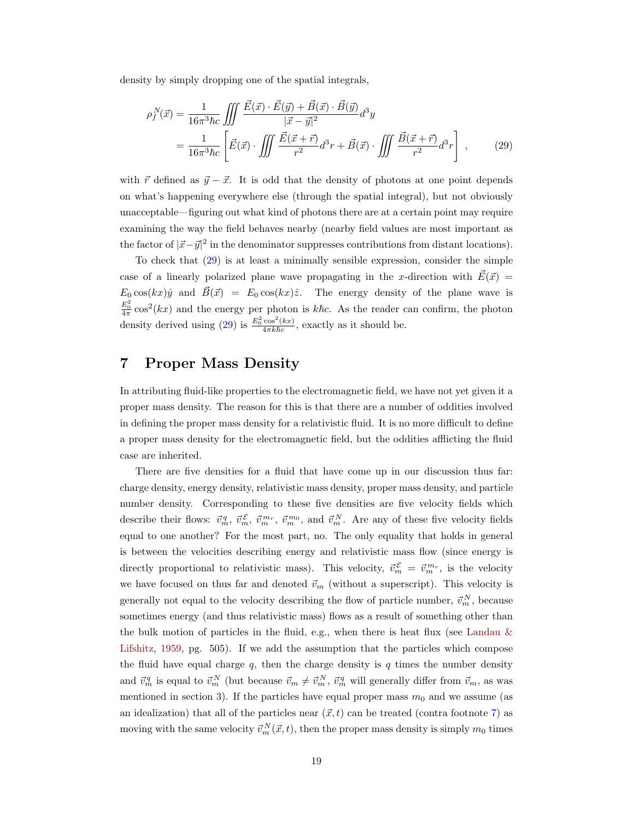density by simply dropping one of the spatial integrals,

<span id="page-18-1"></span>
$$
\rho_f^N(\vec{x}) = \frac{1}{16\pi^3\hbar c} \iiint \frac{\vec{E}(\vec{x}) \cdot \vec{E}(\vec{y}) + \vec{B}(\vec{x}) \cdot \vec{B}(\vec{y})}{|\vec{x} - \vec{y}|^2} d^3y
$$
  
= 
$$
\frac{1}{16\pi^3\hbar c} \left[ \vec{E}(\vec{x}) \cdot \iiint \frac{\vec{E}(\vec{x} + \vec{r})}{r^2} d^3r + \vec{B}(\vec{x}) \cdot \iiint \frac{\vec{B}(\vec{x} + \vec{r})}{r^2} d^3r \right],
$$
(29)

with  $\vec{r}$  defined as  $\vec{y} - \vec{x}$ . It is odd that the density of photons at one point depends on what's happening everywhere else (through the spatial integral), but not obviously unacceptable—figuring out what kind of photons there are at a certain point may require examining the way the field behaves nearby (nearby field values are most important as the factor of  $|\vec{x}-\vec{y}|^2$  in the denominator suppresses contributions from distant locations).

To check that [\(29\)](#page-18-1) is at least a minimally sensible expression, consider the simple case of a linearly polarized plane wave propagating in the x-direction with  $\vec{E}(\vec{x}) =$  $E_0 \cos(kx)\hat{y}$  and  $\vec{B}(\vec{x}) = E_0 \cos(kx)\hat{z}$ . The energy density of the plane wave is  $\frac{E_0^2}{4\pi}$  cos<sup>2</sup>(kx) and the energy per photon is khc. As the reader can confirm, the photon density derived using [\(29\)](#page-18-1) is  $\frac{E_0^2 \cos^2(kx)}{4\pi k\hbar c}$ , exactly as it should be.

## <span id="page-18-0"></span>7 Proper Mass Density

In attributing fluid-like properties to the electromagnetic field, we have not yet given it a proper mass density. The reason for this is that there are a number of oddities involved in defining the proper mass density for a relativistic fluid. It is no more difficult to define a proper mass density for the electromagnetic field, but the oddities afflicting the fluid case are inherited.

There are five densities for a fluid that have come up in our discussion thus far: charge density, energy density, relativistic mass density, proper mass density, and particle number density. Corresponding to these five densities are five velocity fields which describe their flows:  $\vec{v}_m^q$ ,  $\vec{v}_m^{\mathcal{E}}$ ,  $\vec{v}_m^{m_r}$ ,  $\vec{v}_m^{m_0}$ , and  $\vec{v}_m^N$ . Are any of these five velocity fields equal to one another? For the most part, no. The only equality that holds in general is between the velocities describing energy and relativistic mass flow (since energy is directly proportional to relativistic mass). This velocity,  $\vec{v}_m^{\mathcal{E}} = \vec{v}_m^{m_r}$ , is the velocity we have focused on thus far and denoted  $\vec{v}_m$  (without a superscript). This velocity is generally not equal to the velocity describing the flow of particle number,  $\vec{v}_m^N$ , because sometimes energy (and thus relativistic mass) flows as a result of something other than the bulk motion of particles in the fluid, e.g., when there is heat flux (see Landau  $\&$ [Lifshitz,](#page-23-4) [1959,](#page-23-4) pg. 505). If we add the assumption that the particles which compose the fluid have equal charge  $q$ , then the charge density is  $q$  times the number density and  $\vec{v}_m^q$  is equal to  $\vec{v}_m^N$  (but because  $\vec{v}_m \neq \vec{v}_m^N$ ,  $\vec{v}_m^q$  will generally differ from  $\vec{v}_m$ , as was mentioned in section [3\)](#page-4-3). If the particles have equal proper mass  $m_0$  and we assume (as an idealization) that all of the particles near  $(\vec{x}, t)$  can be treated (contra footnote [7\)](#page-7-0) as moving with the same velocity  $\vec{v}_m^N(\vec{x}, t)$ , then the proper mass density is simply  $m_0$  times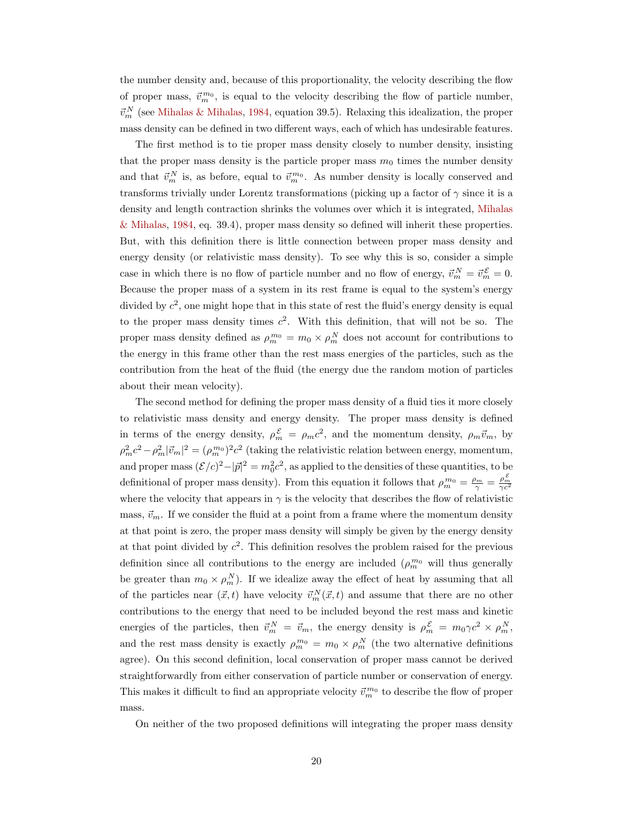the number density and, because of this proportionality, the velocity describing the flow of proper mass,  $\vec{v}_m^{m_0}$ , is equal to the velocity describing the flow of particle number,  $\vec{v}_m^N$  (see [Mihalas & Mihalas,](#page-24-6) [1984,](#page-24-6) equation 39.5). Relaxing this idealization, the proper mass density can be defined in two different ways, each of which has undesirable features.

The first method is to tie proper mass density closely to number density, insisting that the proper mass density is the particle proper mass  $m_0$  times the number density and that  $\vec{v}_m^N$  is, as before, equal to  $\vec{v}_m^{\,m_0}$ . As number density is locally conserved and transforms trivially under Lorentz transformations (picking up a factor of  $\gamma$  since it is a density and length contraction shrinks the volumes over which it is integrated, [Mihalas](#page-24-6) [& Mihalas,](#page-24-6) [1984,](#page-24-6) eq. 39.4), proper mass density so defined will inherit these properties. But, with this definition there is little connection between proper mass density and energy density (or relativistic mass density). To see why this is so, consider a simple case in which there is no flow of particle number and no flow of energy,  $\vec{v}_m^N = \vec{v}_m^{\mathcal{E}} = 0$ . Because the proper mass of a system in its rest frame is equal to the system's energy divided by  $c^2$ , one might hope that in this state of rest the fluid's energy density is equal to the proper mass density times  $c^2$ . With this definition, that will not be so. The proper mass density defined as  $\rho_m^{m_0} = m_0 \times \rho_m^N$  does not account for contributions to the energy in this frame other than the rest mass energies of the particles, such as the contribution from the heat of the fluid (the energy due the random motion of particles about their mean velocity).

The second method for defining the proper mass density of a fluid ties it more closely to relativistic mass density and energy density. The proper mass density is defined in terms of the energy density,  $\rho_m^{\mathcal{E}} = \rho_m c^2$ , and the momentum density,  $\rho_m \vec{v}_m$ , by  $\rho_m^2 c^2 - \rho_m^2 |\vec{v}_m|^2 = (\rho_m^{m_0})^2 c^2$  (taking the relativistic relation between energy, momentum, and proper mass  $(\mathcal{E}/c)^2 - |\vec{p}|^2 = m_0^2 c^2$ , as applied to the densities of these quantities, to be definitional of proper mass density). From this equation it follows that  $\rho_m^{m_0} = \frac{\rho_m}{\gamma} = \frac{\rho_m^E}{\gamma c^2}$ where the velocity that appears in  $\gamma$  is the velocity that describes the flow of relativistic mass,  $\vec{v}_m$ . If we consider the fluid at a point from a frame where the momentum density at that point is zero, the proper mass density will simply be given by the energy density at that point divided by  $c^2$ . This definition resolves the problem raised for the previous definition since all contributions to the energy are included  $(\rho_m^{m_0}$  will thus generally be greater than  $m_0 \times \rho_m^N$ ). If we idealize away the effect of heat by assuming that all of the particles near  $(\vec{x}, t)$  have velocity  $\vec{v}_m^N(\vec{x}, t)$  and assume that there are no other contributions to the energy that need to be included beyond the rest mass and kinetic energies of the particles, then  $\vec{v}_m^N = \vec{v}_m$ , the energy density is  $\rho_m^{\mathcal{E}} = m_0 \gamma c^2 \times \rho_m^N$ , and the rest mass density is exactly  $\rho_m^{m_0} = m_0 \times \rho_m^N$  (the two alternative definitions agree). On this second definition, local conservation of proper mass cannot be derived straightforwardly from either conservation of particle number or conservation of energy. This makes it difficult to find an appropriate velocity  $\vec{v}_m^{m_0}$  to describe the flow of proper mass.

On neither of the two proposed definitions will integrating the proper mass density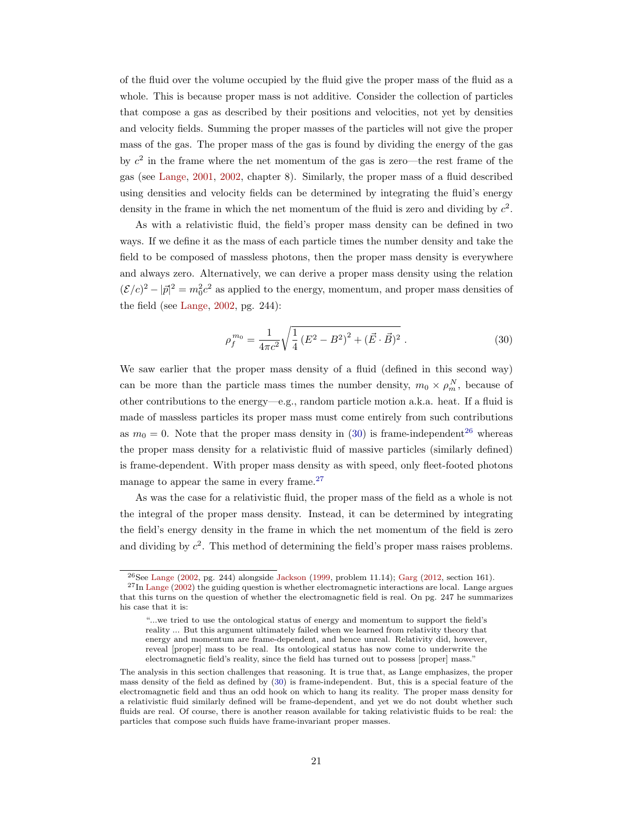of the fluid over the volume occupied by the fluid give the proper mass of the fluid as a whole. This is because proper mass is not additive. Consider the collection of particles that compose a gas as described by their positions and velocities, not yet by densities and velocity fields. Summing the proper masses of the particles will not give the proper mass of the gas. The proper mass of the gas is found by dividing the energy of the gas by  $c<sup>2</sup>$  in the frame where the net momentum of the gas is zero—the rest frame of the gas (see [Lange,](#page-24-7) [2001,](#page-24-7) [2002,](#page-24-2) chapter 8). Similarly, the proper mass of a fluid described using densities and velocity fields can be determined by integrating the fluid's energy density in the frame in which the net momentum of the fluid is zero and dividing by  $c^2$ .

As with a relativistic fluid, the field's proper mass density can be defined in two ways. If we define it as the mass of each particle times the number density and take the field to be composed of massless photons, then the proper mass density is everywhere and always zero. Alternatively, we can derive a proper mass density using the relation  $({\mathcal{E}}/c)^2 - |\vec{p}|^2 = m_0^2 c^2$  as applied to the energy, momentum, and proper mass densities of the field (see [Lange,](#page-24-2) [2002,](#page-24-2) pg. 244):

<span id="page-20-0"></span>
$$
\rho_f^{m_0} = \frac{1}{4\pi c^2} \sqrt{\frac{1}{4} (E^2 - B^2)^2 + (\vec{E} \cdot \vec{B})^2} . \tag{30}
$$

We saw earlier that the proper mass density of a fluid (defined in this second way) can be more than the particle mass times the number density,  $m_0 \times \rho_m^N$ , because of other contributions to the energy—e.g., random particle motion a.k.a. heat. If a fluid is made of massless particles its proper mass must come entirely from such contributions as  $m_0 = 0$ . Note that the proper mass density in [\(30\)](#page-20-0) is frame-independent<sup>[26](#page-20-1)</sup> whereas the proper mass density for a relativistic fluid of massive particles (similarly defined) is frame-dependent. With proper mass density as with speed, only fleet-footed photons manage to appear the same in every frame.<sup>[27](#page-20-2)</sup>

As was the case for a relativistic fluid, the proper mass of the field as a whole is not the integral of the proper mass density. Instead, it can be determined by integrating the field's energy density in the frame in which the net momentum of the field is zero and dividing by  $c^2$ . This method of determining the field's proper mass raises problems.

<span id="page-20-2"></span><span id="page-20-1"></span><sup>&</sup>lt;sup>26</sup>See [Lange](#page-24-2) [\(2002,](#page-24-2) pg. 244) alongside [Jackson](#page-23-5) [\(1999,](#page-23-5) problem 11.14); [Garg](#page-23-15) [\(2012,](#page-23-15) section 161).

<sup>&</sup>lt;sup>27</sup>In [Lange](#page-24-2) [\(2002\)](#page-24-2) the guiding question is whether electromagnetic interactions are local. Lange argues that this turns on the question of whether the electromagnetic field is real. On pg. 247 he summarizes his case that it is:

<sup>&</sup>quot;...we tried to use the ontological status of energy and momentum to support the field's reality ... But this argument ultimately failed when we learned from relativity theory that energy and momentum are frame-dependent, and hence unreal. Relativity did, however, reveal [proper] mass to be real. Its ontological status has now come to underwrite the electromagnetic field's reality, since the field has turned out to possess [proper] mass."

The analysis in this section challenges that reasoning. It is true that, as Lange emphasizes, the proper mass density of the field as defined by [\(30\)](#page-20-0) is frame-independent. But, this is a special feature of the electromagnetic field and thus an odd hook on which to hang its reality. The proper mass density for a relativistic fluid similarly defined will be frame-dependent, and yet we do not doubt whether such fluids are real. Of course, there is another reason available for taking relativistic fluids to be real: the particles that compose such fluids have frame-invariant proper masses.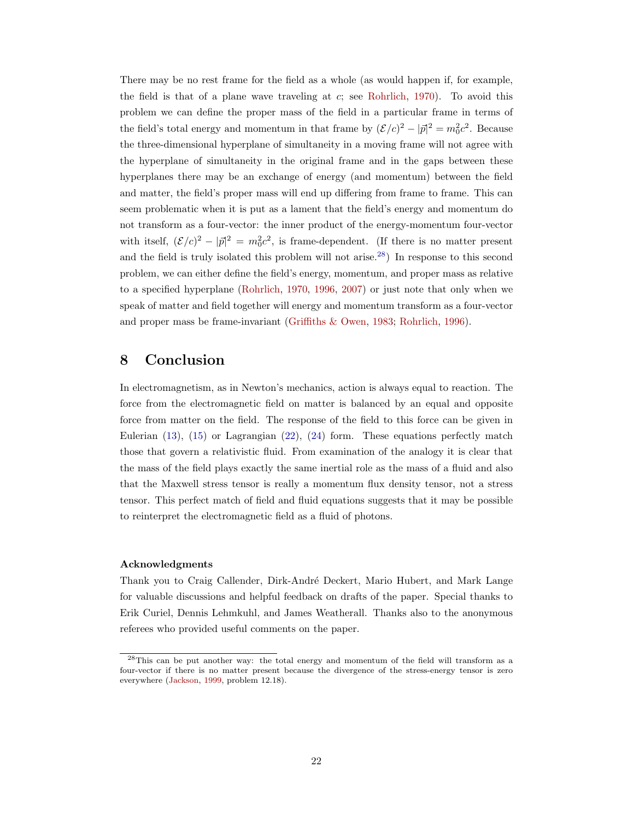There may be no rest frame for the field as a whole (as would happen if, for example, the field is that of a plane wave traveling at  $c$ ; see [Rohrlich,](#page-24-14) [1970\)](#page-24-14). To avoid this problem we can define the proper mass of the field in a particular frame in terms of the field's total energy and momentum in that frame by  $({\mathcal{E}}/c)^2 - |\vec{p}|^2 = m_0^2 c^2$ . Because the three-dimensional hyperplane of simultaneity in a moving frame will not agree with the hyperplane of simultaneity in the original frame and in the gaps between these hyperplanes there may be an exchange of energy (and momentum) between the field and matter, the field's proper mass will end up differing from frame to frame. This can seem problematic when it is put as a lament that the field's energy and momentum do not transform as a four-vector: the inner product of the energy-momentum four-vector with itself,  $(\mathcal{E}/c)^2 - |\vec{p}|^2 = m_0^2 c^2$ , is frame-dependent. (If there is no matter present and the field is truly isolated this problem will not arise.<sup>[28](#page-21-0)</sup>) In response to this second problem, we can either define the field's energy, momentum, and proper mass as relative to a specified hyperplane [\(Rohrlich,](#page-24-14) [1970,](#page-24-14) [1996,](#page-24-15) [2007\)](#page-24-0) or just note that only when we speak of matter and field together will energy and momentum transform as a four-vector and proper mass be frame-invariant [\(Griffiths & Owen,](#page-23-16) [1983;](#page-23-16) [Rohrlich,](#page-24-15) [1996\)](#page-24-15).

#### 8 Conclusion

In electromagnetism, as in Newton's mechanics, action is always equal to reaction. The force from the electromagnetic field on matter is balanced by an equal and opposite force from matter on the field. The response of the field to this force can be given in Eulerian  $(13)$ ,  $(15)$  or Lagrangian  $(22)$ ,  $(24)$  form. These equations perfectly match those that govern a relativistic fluid. From examination of the analogy it is clear that the mass of the field plays exactly the same inertial role as the mass of a fluid and also that the Maxwell stress tensor is really a momentum flux density tensor, not a stress tensor. This perfect match of field and fluid equations suggests that it may be possible to reinterpret the electromagnetic field as a fluid of photons.

#### Acknowledgments

Thank you to Craig Callender, Dirk-André Deckert, Mario Hubert, and Mark Lange for valuable discussions and helpful feedback on drafts of the paper. Special thanks to Erik Curiel, Dennis Lehmkuhl, and James Weatherall. Thanks also to the anonymous referees who provided useful comments on the paper.

<span id="page-21-0"></span><sup>28</sup>This can be put another way: the total energy and momentum of the field will transform as a four-vector if there is no matter present because the divergence of the stress-energy tensor is zero everywhere [\(Jackson,](#page-23-5) [1999,](#page-23-5) problem 12.18).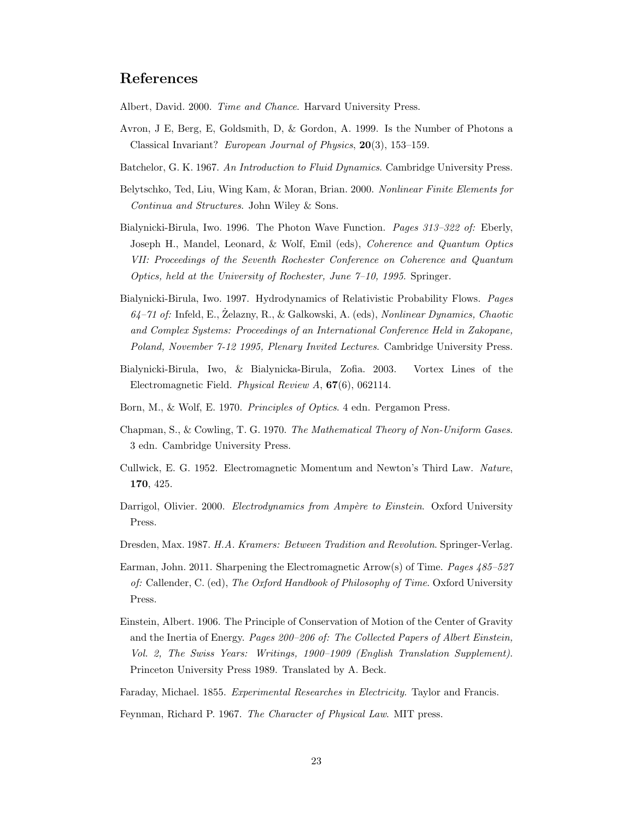# References

- <span id="page-22-10"></span>Albert, David. 2000. Time and Chance. Harvard University Press.
- <span id="page-22-15"></span>Avron, J E, Berg, E, Goldsmith, D, & Gordon, A. 1999. Is the Number of Photons a Classical Invariant? European Journal of Physics, 20(3), 153–159.
- <span id="page-22-4"></span>Batchelor, G. K. 1967. An Introduction to Fluid Dynamics. Cambridge University Press.
- <span id="page-22-8"></span>Belytschko, Ted, Liu, Wing Kam, & Moran, Brian. 2000. Nonlinear Finite Elements for Continua and Structures. John Wiley & Sons.
- <span id="page-22-12"></span>Bialynicki-Birula, Iwo. 1996. The Photon Wave Function. Pages 313–322 of: Eberly, Joseph H., Mandel, Leonard, & Wolf, Emil (eds), Coherence and Quantum Optics VII: Proceedings of the Seventh Rochester Conference on Coherence and Quantum Optics, held at the University of Rochester, June 7–10, 1995. Springer.
- <span id="page-22-13"></span>Bialynicki-Birula, Iwo. 1997. Hydrodynamics of Relativistic Probability Flows. Pages  $64-71$  of: Infeld, E., Zelazny, R., & Galkowski, A. (eds), *Nonlinear Dynamics, Chaotic* and Complex Systems: Proceedings of an International Conference Held in Zakopane, Poland, November 7-12 1995, Plenary Invited Lectures. Cambridge University Press.
- <span id="page-22-14"></span>Bialynicki-Birula, Iwo, & Bialynicka-Birula, Zofia. 2003. Vortex Lines of the Electromagnetic Field. Physical Review A, 67(6), 062114.
- <span id="page-22-5"></span>Born, M., & Wolf, E. 1970. Principles of Optics. 4 edn. Pergamon Press.
- <span id="page-22-3"></span>Chapman, S., & Cowling, T. G. 1970. The Mathematical Theory of Non-Uniform Gases. 3 edn. Cambridge University Press.
- <span id="page-22-0"></span>Cullwick, E. G. 1952. Electromagnetic Momentum and Newton's Third Law. Nature, 170, 425.
- <span id="page-22-7"></span>Darrigol, Olivier. 2000. Electrodynamics from Ampère to Einstein. Oxford University Press.
- <span id="page-22-11"></span>Dresden, Max. 1987. H.A. Kramers: Between Tradition and Revolution. Springer-Verlag.
- <span id="page-22-1"></span>Earman, John. 2011. Sharpening the Electromagnetic Arrow(s) of Time. Pages 485–527 of: Callender, C. (ed), The Oxford Handbook of Philosophy of Time. Oxford University Press.
- <span id="page-22-2"></span>Einstein, Albert. 1906. The Principle of Conservation of Motion of the Center of Gravity and the Inertia of Energy. Pages 200–206 of: The Collected Papers of Albert Einstein, Vol. 2, The Swiss Years: Writings, 1900–1909 (English Translation Supplement). Princeton University Press 1989. Translated by A. Beck.
- <span id="page-22-6"></span>Faraday, Michael. 1855. Experimental Researches in Electricity. Taylor and Francis.
- <span id="page-22-9"></span>Feynman, Richard P. 1967. The Character of Physical Law. MIT press.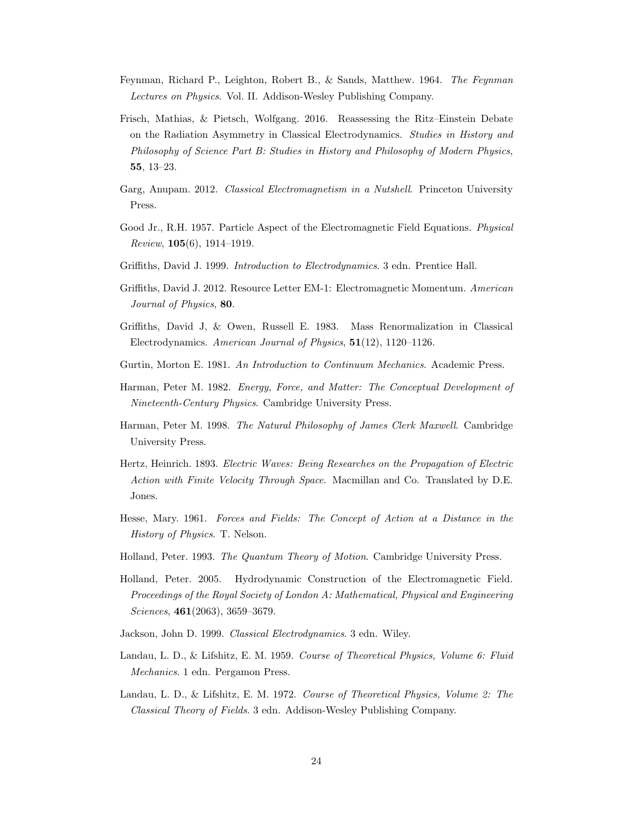- <span id="page-23-1"></span>Feynman, Richard P., Leighton, Robert B., & Sands, Matthew. 1964. The Feynman Lectures on Physics. Vol. II. Addison-Wesley Publishing Company.
- <span id="page-23-2"></span>Frisch, Mathias, & Pietsch, Wolfgang. 2016. Reassessing the Ritz–Einstein Debate on the Radiation Asymmetry in Classical Electrodynamics. Studies in History and Philosophy of Science Part B: Studies in History and Philosophy of Modern Physics, 55, 13–23.
- <span id="page-23-15"></span>Garg, Anupam. 2012. Classical Electromagnetism in a Nutshell. Princeton University Press.
- <span id="page-23-11"></span>Good Jr., R.H. 1957. Particle Aspect of the Electromagnetic Field Equations. Physical Review, 105(6), 1914–1919.
- <span id="page-23-0"></span>Griffiths, David J. 1999. Introduction to Electrodynamics. 3 edn. Prentice Hall.
- <span id="page-23-6"></span>Griffiths, David J. 2012. Resource Letter EM-1: Electromagnetic Momentum. American Journal of Physics, 80.
- <span id="page-23-16"></span>Griffiths, David J, & Owen, Russell E. 1983. Mass Renormalization in Classical Electrodynamics. American Journal of Physics, 51(12), 1120–1126.
- <span id="page-23-10"></span>Gurtin, Morton E. 1981. An Introduction to Continuum Mechanics. Academic Press.
- <span id="page-23-9"></span>Harman, Peter M. 1982. Energy, Force, and Matter: The Conceptual Development of Nineteenth-Century Physics. Cambridge University Press.
- <span id="page-23-8"></span>Harman, Peter M. 1998. The Natural Philosophy of James Clerk Maxwell. Cambridge University Press.
- <span id="page-23-13"></span>Hertz, Heinrich. 1893. Electric Waves: Being Researches on the Propagation of Electric Action with Finite Velocity Through Space. Macmillan and Co. Translated by D.E. Jones.
- <span id="page-23-14"></span>Hesse, Mary. 1961. Forces and Fields: The Concept of Action at a Distance in the History of Physics. T. Nelson.
- <span id="page-23-7"></span>Holland, Peter. 1993. The Quantum Theory of Motion. Cambridge University Press.
- <span id="page-23-12"></span>Holland, Peter. 2005. Hydrodynamic Construction of the Electromagnetic Field. Proceedings of the Royal Society of London A: Mathematical, Physical and Engineering Sciences, 461(2063), 3659–3679.
- <span id="page-23-5"></span>Jackson, John D. 1999. Classical Electrodynamics. 3 edn. Wiley.
- <span id="page-23-4"></span>Landau, L. D., & Lifshitz, E. M. 1959. Course of Theoretical Physics, Volume 6: Fluid Mechanics. 1 edn. Pergamon Press.
- <span id="page-23-3"></span>Landau, L. D., & Lifshitz, E. M. 1972. Course of Theoretical Physics, Volume 2: The Classical Theory of Fields. 3 edn. Addison-Wesley Publishing Company.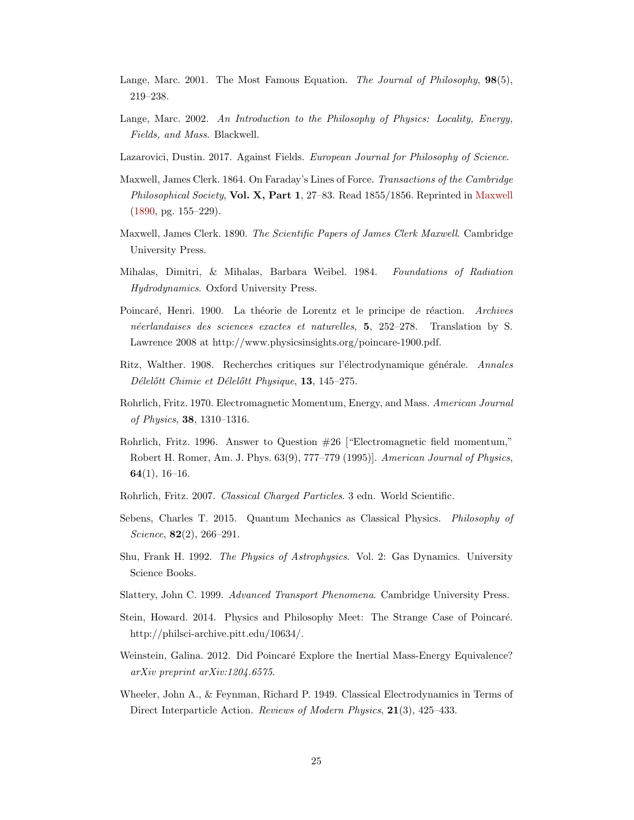- <span id="page-24-7"></span>Lange, Marc. 2001. The Most Famous Equation. The Journal of Philosophy, 98(5), 219–238.
- <span id="page-24-2"></span>Lange, Marc. 2002. An Introduction to the Philosophy of Physics: Locality, Energy, Fields, and Mass. Blackwell.
- <span id="page-24-4"></span>Lazarovici, Dustin. 2017. Against Fields. European Journal for Philosophy of Science.
- <span id="page-24-10"></span>Maxwell, James Clerk. 1864. On Faraday's Lines of Force. Transactions of the Cambridge Philosophical Society, Vol. X, Part 1, 27–83. Read  $1855/1856$ . Reprinted in [Maxwell](#page-24-16) [\(1890,](#page-24-16) pg. 155–229).
- <span id="page-24-16"></span>Maxwell, James Clerk. 1890. The Scientific Papers of James Clerk Maxwell. Cambridge University Press.
- <span id="page-24-6"></span>Mihalas, Dimitri, & Mihalas, Barbara Weibel. 1984. Foundations of Radiation Hydrodynamics. Oxford University Press.
- <span id="page-24-1"></span>Poincaré, Henri. 1900. La théorie de Lorentz et le principe de réaction. Archives  $n\acute{e}erlandaises$  des sciences exactes et naturelles, 5, 252–278. Translation by S. Lawrence 2008 at http://www.physicsinsights.org/poincare-1900.pdf.
- <span id="page-24-5"></span>Ritz, Walther. 1908. Recherches critiques sur l'électrodynamique générale. Annales Délelőtt Chimie et Délelőtt Physique, 13, 145–275.
- <span id="page-24-14"></span>Rohrlich, Fritz. 1970. Electromagnetic Momentum, Energy, and Mass. American Journal of Physics, 38, 1310–1316.
- <span id="page-24-15"></span>Rohrlich, Fritz. 1996. Answer to Question #26 ["Electromagnetic field momentum," Robert H. Romer, Am. J. Phys. 63(9), 777–779 (1995)]. American Journal of Physics,  $64(1), 16-16.$
- <span id="page-24-0"></span>Rohrlich, Fritz. 2007. Classical Charged Particles. 3 edn. World Scientific.
- <span id="page-24-12"></span>Sebens, Charles T. 2015. Quantum Mechanics as Classical Physics. Philosophy of Science,  $82(2)$ , 266-291.
- <span id="page-24-13"></span>Shu, Frank H. 1992. The Physics of Astrophysics. Vol. 2: Gas Dynamics. University Science Books.
- <span id="page-24-11"></span>Slattery, John C. 1999. Advanced Transport Phenomena. Cambridge University Press.
- <span id="page-24-9"></span>Stein, Howard. 2014. Physics and Philosophy Meet: The Strange Case of Poincaré. http://philsci-archive.pitt.edu/10634/.
- <span id="page-24-8"></span>Weinstein, Galina. 2012. Did Poincaré Explore the Inertial Mass-Energy Equivalence? arXiv preprint arXiv:1204.6575.
- <span id="page-24-3"></span>Wheeler, John A., & Feynman, Richard P. 1949. Classical Electrodynamics in Terms of Direct Interparticle Action. Reviews of Modern Physics, 21(3), 425-433.